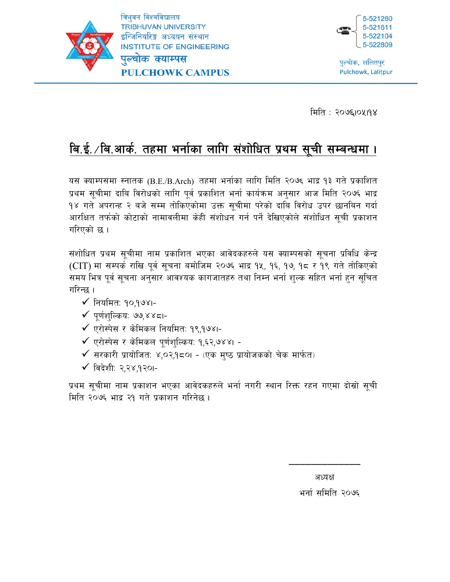



पुल्चोक, ललितपुर Pulchowk, Lalitpur

मिति : २०७६।०५।१४

# बि.ई./बि.आर्क. तहमा भर्नाका लागि संशोधित प्रथम सूची सम्बन्धमा ।

यस क्याम्पसमा स्नातक (B.E./B.Arch) तहमा भर्नाका लागि मिति २०७६ भाद्र १३ गते प्रकाशित प्रथम सूचीमा दाबि विरोधको लागि पूर्व प्रकाशित भर्ना कार्यक्रम अनुसार आज मिति २०७६ भाद्र १४ गते अपरान्ह २ बजे सम्म तोकिएकोमा उक्त सूचीमा परेको दाबि विरोध उपर छानबिन गर्दा आरक्षित तर्फको कोटाको नामावलीमा केही संशोधन गर्न पर्ने देखिएकोले संशोधित सूची प्रकाशन गरिएको छ ।

संशोधित प्रथम सूचीमा नाम प्रकाशित भएका आवेदकहरुले यस क्याम्पसको सूचना प्रविधि केन्द्र (CIT) मा सम्पर्क राखि पूर्व सूचना बमोजिम २०७६ भाद्र १४, १६, १७, १८ र १९ गते तोकिएको समय भित्र पूर्व सूचना अनुसार आवश्यक कागजातहरु तथा निम्न भर्ना शुल्क सहित भर्ना हुन सूचित गरिन्छ ।

- $\checkmark$  नियमित: १०,१७४।-
- $\checkmark$  पुर्णशुल्किय: ७७,४४८।-
- $\checkmark$  एरोस्पेस र केमिकल नियमित: १९,१७४।-
- $\checkmark$  एरोस्पेस र केमिकल पूर्णशुल्किय: १,६२,७४४। -
- $\checkmark$  सरकारी प्रायोजित: ४,०२,१८०1 (एक मुष्ठ प्रायोजकको चेक मार्फत)
- $\checkmark$  विदेशी: २.२४.१२०।-

प्रथम सूचीमा नाम प्रकाशन भएका आवेदकहरुले भर्ना नगरी स्थान रिक्त रहन गएमा दोस्रो सूची मिति २०७६ भाद्र २१ गते प्रकाशन गरिनेछ ।

अध्यक्ष

\_\_\_\_\_\_\_\_\_\_\_\_\_

भर्ना समिति २०७६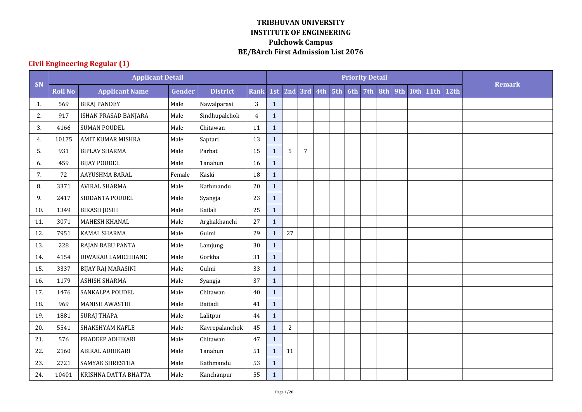|     |                | <b>Applicant Detail</b>   |               |                 |                |              |            |                 |  |     | <b>Priority Detail</b> |     |     |      |             |      |               |
|-----|----------------|---------------------------|---------------|-----------------|----------------|--------------|------------|-----------------|--|-----|------------------------|-----|-----|------|-------------|------|---------------|
| SN  | <b>Roll No</b> | <b>Applicant Name</b>     | <b>Gender</b> | <b>District</b> | <b>Rank</b>    | 1st          |            | 2nd 3rd 4th 5th |  | 6th | 7th                    | 8th | 9th | 10th | <b>11th</b> | 12th | <b>Remark</b> |
| 1.  | 569            | <b>BIRAJ PANDEY</b>       | Male          | Nawalparasi     | 3              | $\mathbf{1}$ |            |                 |  |     |                        |     |     |      |             |      |               |
| 2.  | 917            | ISHAN PRASAD BANJARA      | Male          | Sindhupalchok   | $\overline{4}$ | $\mathbf{1}$ |            |                 |  |     |                        |     |     |      |             |      |               |
| 3.  | 4166           | <b>SUMAN POUDEL</b>       | Male          | Chitawan        | 11             | $\mathbf{1}$ |            |                 |  |     |                        |     |     |      |             |      |               |
| 4.  | 10175          | <b>AMIT KUMAR MISHRA</b>  | Male          | Saptari         | 13             | $\mathbf{1}$ |            |                 |  |     |                        |     |     |      |             |      |               |
| 5.  | 931            | <b>BIPLAV SHARMA</b>      | Male          | Parbat          | 15             | $\mathbf{1}$ | 5          | $\overline{7}$  |  |     |                        |     |     |      |             |      |               |
| 6.  | 459            | <b>BIJAY POUDEL</b>       | Male          | Tanahun         | 16             | $\mathbf{1}$ |            |                 |  |     |                        |     |     |      |             |      |               |
| 7.  | 72             | AAYUSHMA BARAL            | Female        | Kaski           | 18             | $\mathbf{1}$ |            |                 |  |     |                        |     |     |      |             |      |               |
| 8.  | 3371           | <b>AVIRAL SHARMA</b>      | Male          | Kathmandu       | 20             | $\mathbf{1}$ |            |                 |  |     |                        |     |     |      |             |      |               |
| 9.  | 2417           | SIDDANTA POUDEL           | Male          | Syangja         | 23             | $\mathbf{1}$ |            |                 |  |     |                        |     |     |      |             |      |               |
| 10. | 1349           | <b>BIKASH JOSHI</b>       | Male          | Kailali         | 25             | $\mathbf{1}$ |            |                 |  |     |                        |     |     |      |             |      |               |
| 11. | 3071           | MAHESH KHANAL             | Male          | Arghakhanchi    | 27             | $\mathbf{1}$ |            |                 |  |     |                        |     |     |      |             |      |               |
| 12. | 7951           | <b>KAMAL SHARMA</b>       | Male          | Gulmi           | 29             | $\mathbf{1}$ | 27         |                 |  |     |                        |     |     |      |             |      |               |
| 13. | 228            | RAJAN BABU PANTA          | Male          | Lamjung         | 30             | $\mathbf{1}$ |            |                 |  |     |                        |     |     |      |             |      |               |
| 14. | 4154           | DIWAKAR LAMICHHANE        | Male          | Gorkha          | 31             | $\mathbf{1}$ |            |                 |  |     |                        |     |     |      |             |      |               |
| 15. | 3337           | <b>BIJAY RAJ MARASINI</b> | Male          | Gulmi           | 33             | $\mathbf{1}$ |            |                 |  |     |                        |     |     |      |             |      |               |
| 16. | 1179           | <b>ASHISH SHARMA</b>      | Male          | Syangja         | 37             | $\mathbf{1}$ |            |                 |  |     |                        |     |     |      |             |      |               |
| 17. | 1476           | <b>SANKALPA POUDEL</b>    | Male          | Chitawan        | 40             | $\mathbf{1}$ |            |                 |  |     |                        |     |     |      |             |      |               |
| 18. | 969            | MANISH AWASTHI            | Male          | Baitadi         | 41             | $\mathbf{1}$ |            |                 |  |     |                        |     |     |      |             |      |               |
| 19. | 1881           | <b>SURAJ THAPA</b>        | Male          | Lalitpur        | 44             | $\mathbf{1}$ |            |                 |  |     |                        |     |     |      |             |      |               |
| 20. | 5541           | SHAKSHYAM KAFLE           | Male          | Kavrepalanchok  | 45             | $\mathbf{1}$ | $\sqrt{2}$ |                 |  |     |                        |     |     |      |             |      |               |
| 21. | 576            | PRADEEP ADHIKARI          | Male          | Chitawan        | 47             | $\mathbf{1}$ |            |                 |  |     |                        |     |     |      |             |      |               |
| 22. | 2160           | ABIRAL ADHIKARI           | Male          | Tanahun         | 51             | $\mathbf{1}$ | 11         |                 |  |     |                        |     |     |      |             |      |               |
| 23. | 2721           | <b>SAMYAK SHRESTHA</b>    | Male          | Kathmandu       | 53             | $\mathbf{1}$ |            |                 |  |     |                        |     |     |      |             |      |               |
| 24. | 10401          | KRISHNA DATTA BHATTA      | Male          | Kanchanpur      | 55             | $\mathbf{1}$ |            |                 |  |     |                        |     |     |      |             |      |               |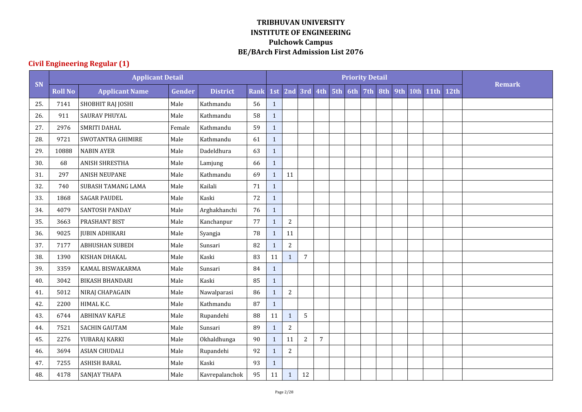|     |                | <b>Applicant Detail</b>   |        |                 |             |              |                |                 |                |     | <b>Priority Detail</b> |     |     |      |             |      |               |
|-----|----------------|---------------------------|--------|-----------------|-------------|--------------|----------------|-----------------|----------------|-----|------------------------|-----|-----|------|-------------|------|---------------|
| SN  | <b>Roll No</b> | <b>Applicant Name</b>     | Gender | <b>District</b> | <b>Rank</b> | 1st          |                | 2nd 3rd 4th 5th |                | 6th | 7th                    | 8th | 9th | 10th | <b>11th</b> | 12th | <b>Remark</b> |
| 25. | 7141           | SHOBHIT RAJ JOSHI         | Male   | Kathmandu       | 56          | $\mathbf{1}$ |                |                 |                |     |                        |     |     |      |             |      |               |
| 26. | 911            | <b>SAURAV PHUYAL</b>      | Male   | Kathmandu       | 58          | $\mathbf{1}$ |                |                 |                |     |                        |     |     |      |             |      |               |
| 27. | 2976           | SMRITI DAHAL              | Female | Kathmandu       | 59          | $\mathbf{1}$ |                |                 |                |     |                        |     |     |      |             |      |               |
| 28. | 9721           | SWOTANTRA GHIMIRE         | Male   | Kathmandu       | 61          | $\mathbf{1}$ |                |                 |                |     |                        |     |     |      |             |      |               |
| 29. | 10888          | <b>NABIN AYER</b>         | Male   | Dadeldhura      | 63          | $\mathbf{1}$ |                |                 |                |     |                        |     |     |      |             |      |               |
| 30. | 68             | <b>ANISH SHRESTHA</b>     | Male   | Lamjung         | 66          | $\mathbf{1}$ |                |                 |                |     |                        |     |     |      |             |      |               |
| 31. | 297            | <b>ANISH NEUPANE</b>      | Male   | Kathmandu       | 69          | $\mathbf{1}$ | 11             |                 |                |     |                        |     |     |      |             |      |               |
| 32. | 740            | <b>SUBASH TAMANG LAMA</b> | Male   | Kailali         | 71          | $\mathbf{1}$ |                |                 |                |     |                        |     |     |      |             |      |               |
| 33. | 1868           | <b>SAGAR PAUDEL</b>       | Male   | Kaski           | 72          | $\mathbf{1}$ |                |                 |                |     |                        |     |     |      |             |      |               |
| 34. | 4079           | <b>SANTOSH PANDAY</b>     | Male   | Arghakhanchi    | 76          | $\mathbf{1}$ |                |                 |                |     |                        |     |     |      |             |      |               |
| 35. | 3663           | PRASHANT BIST             | Male   | Kanchanpur      | 77          | $\mathbf{1}$ | $\sqrt{2}$     |                 |                |     |                        |     |     |      |             |      |               |
| 36. | 9025           | <b>JUBIN ADHIKARI</b>     | Male   | Syangja         | 78          | $\mathbf{1}$ | 11             |                 |                |     |                        |     |     |      |             |      |               |
| 37. | 7177           | <b>ABHUSHAN SUBEDI</b>    | Male   | Sunsari         | 82          | $\mathbf{1}$ | $\sqrt{2}$     |                 |                |     |                        |     |     |      |             |      |               |
| 38. | 1390           | KISHAN DHAKAL             | Male   | Kaski           | 83          | 11           | $\mathbf{1}$   | $\overline{7}$  |                |     |                        |     |     |      |             |      |               |
| 39. | 3359           | KAMAL BISWAKARMA          | Male   | Sunsari         | 84          | $\mathbf{1}$ |                |                 |                |     |                        |     |     |      |             |      |               |
| 40. | 3042           | <b>BIKASH BHANDARI</b>    | Male   | Kaski           | 85          | $\mathbf{1}$ |                |                 |                |     |                        |     |     |      |             |      |               |
| 41. | 5012           | NIRAJ CHAPAGAIN           | Male   | Nawalparasi     | 86          | $\mathbf{1}$ | $\sqrt{2}$     |                 |                |     |                        |     |     |      |             |      |               |
| 42. | 2200           | HIMAL K.C.                | Male   | Kathmandu       | 87          | $\mathbf{1}$ |                |                 |                |     |                        |     |     |      |             |      |               |
| 43. | 6744           | <b>ABHINAV KAFLE</b>      | Male   | Rupandehi       | 88          | 11           | $\mathbf{1}$   | 5               |                |     |                        |     |     |      |             |      |               |
| 44. | 7521           | <b>SACHIN GAUTAM</b>      | Male   | Sunsari         | 89          | $\mathbf{1}$ | $\sqrt{2}$     |                 |                |     |                        |     |     |      |             |      |               |
| 45. | 2276           | YUBARAJ KARKI             | Male   | Okhaldhunga     | 90          | $\mathbf{1}$ | 11             | $\overline{2}$  | $\overline{7}$ |     |                        |     |     |      |             |      |               |
| 46. | 3694           | <b>ASIAN CHUDALI</b>      | Male   | Rupandehi       | 92          | $\mathbf{1}$ | $\overline{2}$ |                 |                |     |                        |     |     |      |             |      |               |
| 47. | 7255           | <b>ASHISH BARAL</b>       | Male   | Kaski           | 93          | $\mathbf{1}$ |                |                 |                |     |                        |     |     |      |             |      |               |
| 48. | 4178           | SANJAY THAPA              | Male   | Kavrepalanchok  | 95          | $11\,$       | $\mathbf 1$    | 12              |                |     |                        |     |     |      |             |      |               |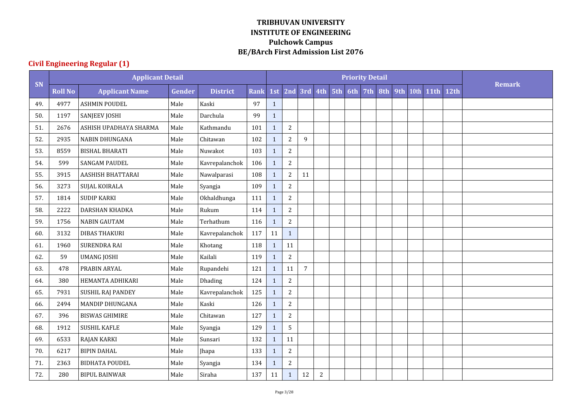|     |                | <b>Applicant Detail</b> |               |                 |             |              |                |                 |              |     | <b>Priority Detail</b> |     |     |      |             |      |               |
|-----|----------------|-------------------------|---------------|-----------------|-------------|--------------|----------------|-----------------|--------------|-----|------------------------|-----|-----|------|-------------|------|---------------|
| SN  | <b>Roll No</b> | <b>Applicant Name</b>   | <b>Gender</b> | <b>District</b> | <b>Rank</b> | 1st          |                | 2nd 3rd 4th 5th |              | 6th | 7th                    | 8th | 9th | 10th | <b>11th</b> | 12th | <b>Remark</b> |
| 49. | 4977           | <b>ASHMIN POUDEL</b>    | Male          | Kaski           | 97          | $\mathbf{1}$ |                |                 |              |     |                        |     |     |      |             |      |               |
| 50. | 1197           | SANJEEV JOSHI           | Male          | Darchula        | 99          | $\mathbf{1}$ |                |                 |              |     |                        |     |     |      |             |      |               |
| 51. | 2676           | ASHISH UPADHAYA SHARMA  | Male          | Kathmandu       | 101         | $\mathbf{1}$ | $\overline{2}$ |                 |              |     |                        |     |     |      |             |      |               |
| 52. | 2935           | <b>NABIN DHUNGANA</b>   | Male          | Chitawan        | 102         | $\mathbf{1}$ | $\overline{2}$ | 9               |              |     |                        |     |     |      |             |      |               |
| 53. | 8559           | <b>BISHAL BHARATI</b>   | Male          | Nuwakot         | 103         | $\mathbf{1}$ | $\sqrt{2}$     |                 |              |     |                        |     |     |      |             |      |               |
| 54. | 599            | SANGAM PAUDEL           | Male          | Kavrepalanchok  | 106         | $\mathbf{1}$ | $\overline{2}$ |                 |              |     |                        |     |     |      |             |      |               |
| 55. | 3915           | AASHISH BHATTARAI       | Male          | Nawalparasi     | 108         | $\mathbf{1}$ | $\overline{2}$ | 11              |              |     |                        |     |     |      |             |      |               |
| 56. | 3273           | SUJAL KOIRALA           | Male          | Syangja         | 109         | $\mathbf{1}$ | $\sqrt{2}$     |                 |              |     |                        |     |     |      |             |      |               |
| 57. | 1814           | <b>SUDIP KARKI</b>      | Male          | Okhaldhunga     | 111         | $\mathbf{1}$ | $\overline{2}$ |                 |              |     |                        |     |     |      |             |      |               |
| 58. | 2222           | DARSHAN KHADKA          | Male          | Rukum           | 114         | $\mathbf{1}$ | $\sqrt{2}$     |                 |              |     |                        |     |     |      |             |      |               |
| 59. | 1756           | <b>NABIN GAUTAM</b>     | Male          | Terhathum       | 116         | $\mathbf{1}$ | $\sqrt{2}$     |                 |              |     |                        |     |     |      |             |      |               |
| 60. | 3132           | <b>DIBAS THAKURI</b>    | Male          | Kavrepalanchok  | 117         | 11           | $\mathbf{1}$   |                 |              |     |                        |     |     |      |             |      |               |
| 61. | 1960           | <b>SURENDRA RAI</b>     | Male          | Khotang         | 118         | $\mathbf{1}$ | 11             |                 |              |     |                        |     |     |      |             |      |               |
| 62. | 59             | <b>UMANG JOSHI</b>      | Male          | Kailali         | 119         | $\mathbf{1}$ | $\sqrt{2}$     |                 |              |     |                        |     |     |      |             |      |               |
| 63. | 478            | PRABIN ARYAL            | Male          | Rupandehi       | 121         | $\mathbf{1}$ | 11             | $\overline{7}$  |              |     |                        |     |     |      |             |      |               |
| 64. | 380            | HEMANTA ADHIKARI        | Male          | Dhading         | 124         | $\mathbf{1}$ | $\sqrt{2}$     |                 |              |     |                        |     |     |      |             |      |               |
| 65. | 7931           | SUSHIL RAJ PANDEY       | Male          | Kavrepalanchok  | 125         | $\mathbf{1}$ | $\sqrt{2}$     |                 |              |     |                        |     |     |      |             |      |               |
| 66. | 2494           | <b>MANDIP DHUNGANA</b>  | Male          | Kaski           | 126         | $\mathbf{1}$ | $\sqrt{2}$     |                 |              |     |                        |     |     |      |             |      |               |
| 67. | 396            | <b>BISWAS GHIMIRE</b>   | Male          | Chitawan        | 127         | $\mathbf{1}$ | $\sqrt{2}$     |                 |              |     |                        |     |     |      |             |      |               |
| 68. | 1912           | <b>SUSHIL KAFLE</b>     | Male          | Syangja         | 129         | $\mathbf{1}$ | 5              |                 |              |     |                        |     |     |      |             |      |               |
| 69. | 6533           | <b>RAJAN KARKI</b>      | Male          | Sunsari         | 132         | $\mathbf{1}$ | 11             |                 |              |     |                        |     |     |      |             |      |               |
| 70. | 6217           | <b>BIPIN DAHAL</b>      | Male          | Jhapa           | 133         | $\mathbf{1}$ | $\overline{2}$ |                 |              |     |                        |     |     |      |             |      |               |
| 71. | 2363           | <b>BIDHATA POUDEL</b>   | Male          | Syangja         | 134         | 1            | $\sqrt{2}$     |                 |              |     |                        |     |     |      |             |      |               |
| 72. | 280            | <b>BIPUL BAINWAR</b>    | Male          | Siraha          | 137         | 11           | $\mathbf{1}$   | 12              | $\mathbf{2}$ |     |                        |     |     |      |             |      |               |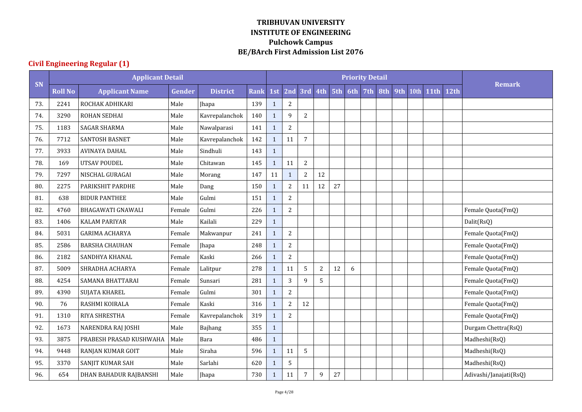|     |                | <b>Applicant Detail</b>  |        |                 |             |              |                |                |     |     |     | <b>Priority Detail</b> |     |     |      |             |      |                        |
|-----|----------------|--------------------------|--------|-----------------|-------------|--------------|----------------|----------------|-----|-----|-----|------------------------|-----|-----|------|-------------|------|------------------------|
| SN  | <b>Roll No</b> | <b>Applicant Name</b>    | Gender | <b>District</b> | <b>Rank</b> | 1st          | 2nd            | 3rd            | 4th | 5th | 6th | 7th                    | 8th | 9th | 10th | <b>11th</b> | 12th | <b>Remark</b>          |
| 73. | 2241           | ROCHAK ADHIKARI          | Male   | Jhapa           | 139         | $\mathbf{1}$ | $\sqrt{2}$     |                |     |     |     |                        |     |     |      |             |      |                        |
| 74. | 3290           | ROHAN SEDHAI             | Male   | Kavrepalanchok  | 140         | $\mathbf{1}$ | 9              | $\overline{c}$ |     |     |     |                        |     |     |      |             |      |                        |
| 75. | 1183           | <b>SAGAR SHARMA</b>      | Male   | Nawalparasi     | 141         | $\mathbf{1}$ | $\overline{c}$ |                |     |     |     |                        |     |     |      |             |      |                        |
| 76. | 7712           | <b>SANTOSH BASNET</b>    | Male   | Kavrepalanchok  | 142         | $\mathbf{1}$ | 11             | 7              |     |     |     |                        |     |     |      |             |      |                        |
| 77. | 3933           | <b>AVINAYA DAHAL</b>     | Male   | Sindhuli        | 143         | $\mathbf{1}$ |                |                |     |     |     |                        |     |     |      |             |      |                        |
| 78. | 169            | UTSAV POUDEL             | Male   | Chitawan        | 145         | $\mathbf{1}$ | 11             | $\overline{2}$ |     |     |     |                        |     |     |      |             |      |                        |
| 79. | 7297           | NISCHAL GURAGAI          | Male   | Morang          | 147         | 11           | $\mathbf{1}$   | $\overline{2}$ | 12  |     |     |                        |     |     |      |             |      |                        |
| 80. | 2275           | PARIKSHIT PARDHE         | Male   | Dang            | 150         | $\mathbf{1}$ | $\overline{2}$ | 11             | 12  | 27  |     |                        |     |     |      |             |      |                        |
| 81. | 638            | <b>BIDUR PANTHEE</b>     | Male   | Gulmi           | 151         | $\mathbf{1}$ | $\overline{2}$ |                |     |     |     |                        |     |     |      |             |      |                        |
| 82. | 4760           | <b>BHAGAWATI GNAWALI</b> | Female | Gulmi           | 226         | $\mathbf{1}$ | $\overline{c}$ |                |     |     |     |                        |     |     |      |             |      | Female Quota(FmQ)      |
| 83. | 1406           | <b>KALAM PARIYAR</b>     | Male   | Kailali         | 229         | $\mathbf{1}$ |                |                |     |     |     |                        |     |     |      |             |      | Dalit(RsQ)             |
| 84. | 5031           | <b>GARIMA ACHARYA</b>    | Female | Makwanpur       | 241         | $\mathbf{1}$ | $\overline{c}$ |                |     |     |     |                        |     |     |      |             |      | Female Quota(FmQ)      |
| 85. | 2586           | <b>BARSHA CHAUHAN</b>    | Female | Jhapa           | 248         | $\mathbf{1}$ | $\sqrt{2}$     |                |     |     |     |                        |     |     |      |             |      | Female Quota(FmQ)      |
| 86. | 2182           | SANDHYA KHANAL           | Female | Kaski           | 266         | $\mathbf{1}$ | $\sqrt{2}$     |                |     |     |     |                        |     |     |      |             |      | Female Quota(FmQ)      |
| 87. | 5009           | SHRADHA ACHARYA          | Female | Lalitpur        | 278         | $\mathbf{1}$ | 11             | 5              | 2   | 12  | 6   |                        |     |     |      |             |      | Female Quota(FmQ)      |
| 88. | 4254           | <b>SAMANA BHATTARAI</b>  | Female | Sunsari         | 281         | $\mathbf{1}$ | 3              | 9              | 5   |     |     |                        |     |     |      |             |      | Female Quota(FmQ)      |
| 89. | 4390           | SUJATA KHAREL            | Female | Gulmi           | 301         | $\mathbf{1}$ | $\overline{c}$ |                |     |     |     |                        |     |     |      |             |      | Female Quota(FmQ)      |
| 90. | 76             | <b>RASHMI KOIRALA</b>    | Female | Kaski           | 316         | $\mathbf{1}$ | $\overline{c}$ | 12             |     |     |     |                        |     |     |      |             |      | Female Quota(FmQ)      |
| 91. | 1310           | <b>RIYA SHRESTHA</b>     | Female | Kavrepalanchok  | 319         | $\mathbf{1}$ | $\overline{2}$ |                |     |     |     |                        |     |     |      |             |      | Female Quota(FmQ)      |
| 92. | 1673           | NARENDRA RAJ JOSHI       | Male   | Bajhang         | 355         | $\mathbf{1}$ |                |                |     |     |     |                        |     |     |      |             |      | Durgam Chettra(RsQ)    |
| 93. | 3875           | PRABESH PRASAD KUSHWAHA  | Male   | Bara            | 486         | $\mathbf{1}$ |                |                |     |     |     |                        |     |     |      |             |      | Madheshi(RsQ)          |
| 94. | 9448           | RANJAN KUMAR GOIT        | Male   | Siraha          | 596         | $\mathbf{1}$ | 11             | 5              |     |     |     |                        |     |     |      |             |      | Madheshi(RsQ)          |
| 95. | 3370           | SANJIT KUMAR SAH         | Male   | Sarlahi         | 620         | $\mathbf{1}$ | 5              |                |     |     |     |                        |     |     |      |             |      | Madheshi(RsQ)          |
| 96. | 654            | DHAN BAHADUR RAJBANSHI   | Male   | Jhapa           | 730         | $\mathbf{1}$ | 11             | 7              | 9   | 27  |     |                        |     |     |      |             |      | Adivashi/Janajati(RsQ) |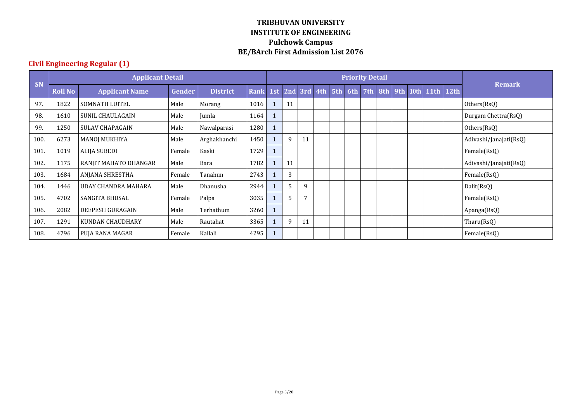|           |                | <b>Applicant Detail</b> |        |                 |             |     |    |             |     | <b>Priority Detail</b> |     |     |  |               |      |                        |
|-----------|----------------|-------------------------|--------|-----------------|-------------|-----|----|-------------|-----|------------------------|-----|-----|--|---------------|------|------------------------|
| <b>SN</b> | <b>Roll No</b> | <b>Applicant Name</b>   | Gender | <b>District</b> | <b>Rank</b> | 1st |    | 2nd 3rd 4th | 5th | 6th                    | 7th | 8th |  | 9th 10th 11th | 12th | <b>Remark</b>          |
| 97.       | 1822           | SOMNATH LUITEL          | Male   | Morang          | 1016        |     | 11 |             |     |                        |     |     |  |               |      | Others(RsQ)            |
| 98.       | 1610           | SUNIL CHAULAGAIN        | Male   | Jumla           | 1164        |     |    |             |     |                        |     |     |  |               |      | Durgam Chettra(RsQ)    |
| 99        | 1250           | <b>SULAV CHAPAGAIN</b>  | Male   | Nawalparasi     | 1280        |     |    |             |     |                        |     |     |  |               |      | Others(RsQ)            |
| 100.      | 6273           | MANOJ MUKHIYA           | Male   | Arghakhanchi    | 1450        |     | 9  | 11          |     |                        |     |     |  |               |      | Adivashi/Janajati(RsQ) |
| 101.      | 1019           | <b>ALIJA SUBEDI</b>     | Female | Kaski           | 1729        |     |    |             |     |                        |     |     |  |               |      | Female(RsQ)            |
| 102.      | 1175           | RANJIT MAHATO DHANGAR   | Male   | Bara            | 1782        |     | 11 |             |     |                        |     |     |  |               |      | Adivashi/Janajati(RsQ) |
| 103.      | 1684           | ANJANA SHRESTHA         | Female | Tanahun         | 2743        |     | 3  |             |     |                        |     |     |  |               |      | Female(RsQ)            |
| 104.      | 1446           | UDAY CHANDRA MAHARA     | Male   | Dhanusha        | 2944        |     | 5  | 9           |     |                        |     |     |  |               |      | Dalit(RsQ)             |
| 105.      | 4702           | <b>SANGITA BHUSAL</b>   | Female | Palpa           | 3035        |     | 5  | 7           |     |                        |     |     |  |               |      | Female(RsQ)            |
| 106.      | 2082           | DEEPESH GURAGAIN        | Male   | Terhathum       | 3260        |     |    |             |     |                        |     |     |  |               |      | Apanga(RsQ)            |
| 107.      | 1291           | KUNDAN CHAUDHARY        | Male   | Rautahat        | 3365        |     | 9  | 11          |     |                        |     |     |  |               |      | Tharu(RsQ)             |
| 108.      | 4796           | PUJA RANA MAGAR         | Female | Kailali         | 4295        |     |    |             |     |                        |     |     |  |               |      | Female(RsQ)            |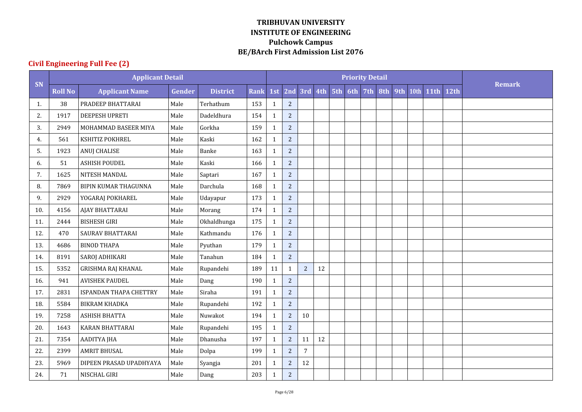|     |                | <b>Applicant Detail</b>   |        |                 |             |              |                |                |    |                 | <b>Priority Detail</b> |     |     |      |             |      |               |
|-----|----------------|---------------------------|--------|-----------------|-------------|--------------|----------------|----------------|----|-----------------|------------------------|-----|-----|------|-------------|------|---------------|
| SN  | <b>Roll No</b> | <b>Applicant Name</b>     | Gender | <b>District</b> | <b>Rank</b> | 1st          | 2nd            |                |    | 3rd 4th 5th 6th | 7th                    | 8th | 9th | 10th | <b>11th</b> | 12th | <b>Remark</b> |
| 1.  | 38             | PRADEEP BHATTARAI         | Male   | Terhathum       | 153         | $\mathbf{1}$ | $\overline{c}$ |                |    |                 |                        |     |     |      |             |      |               |
| 2.  | 1917           | <b>DEEPESH UPRETI</b>     | Male   | Dadeldhura      | 154         | $\mathbf{1}$ | $\sqrt{2}$     |                |    |                 |                        |     |     |      |             |      |               |
| 3.  | 2949           | MOHAMMAD BASEER MIYA      | Male   | Gorkha          | 159         | $\mathbf{1}$ | $\overline{2}$ |                |    |                 |                        |     |     |      |             |      |               |
| 4.  | 561            | KSHITIZ POKHREL           | Male   | Kaski           | 162         | $\mathbf{1}$ | $\overline{c}$ |                |    |                 |                        |     |     |      |             |      |               |
| 5.  | 1923           | <b>ANUJ CHALISE</b>       | Male   | Banke           | 163         | $\mathbf{1}$ | $\overline{c}$ |                |    |                 |                        |     |     |      |             |      |               |
| 6.  | 51             | <b>ASHISH POUDEL</b>      | Male   | Kaski           | 166         | $\mathbf{1}$ | $\overline{c}$ |                |    |                 |                        |     |     |      |             |      |               |
| 7.  | 1625           | NITESH MANDAL             | Male   | Saptari         | 167         | $\mathbf{1}$ | $\overline{c}$ |                |    |                 |                        |     |     |      |             |      |               |
| 8.  | 7869           | BIPIN KUMAR THAGUNNA      | Male   | Darchula        | 168         | $\mathbf{1}$ | $\overline{c}$ |                |    |                 |                        |     |     |      |             |      |               |
| 9.  | 2929           | YOGARAJ POKHAREL          | Male   | Udayapur        | 173         | $\mathbf{1}$ | $\overline{c}$ |                |    |                 |                        |     |     |      |             |      |               |
| 10. | 4156           | AJAY BHATTARAI            | Male   | Morang          | 174         | $\mathbf{1}$ | $\overline{c}$ |                |    |                 |                        |     |     |      |             |      |               |
| 11. | 2444           | <b>BISHESH GIRI</b>       | Male   | Okhaldhunga     | 175         | $\mathbf{1}$ | $\sqrt{2}$     |                |    |                 |                        |     |     |      |             |      |               |
| 12. | 470            | SAURAV BHATTARAI          | Male   | Kathmandu       | 176         | $\mathbf{1}$ | $\overline{c}$ |                |    |                 |                        |     |     |      |             |      |               |
| 13. | 4686           | <b>BINOD THAPA</b>        | Male   | Pyuthan         | 179         | $\mathbf{1}$ | $\sqrt{2}$     |                |    |                 |                        |     |     |      |             |      |               |
| 14. | 8191           | <b>SAROJ ADHIKARI</b>     | Male   | Tanahun         | 184         | $\mathbf{1}$ | $\sqrt{2}$     |                |    |                 |                        |     |     |      |             |      |               |
| 15. | 5352           | <b>GRISHMA RAJ KHANAL</b> | Male   | Rupandehi       | 189         | 11           | $\mathbf{1}$   | $\overline{2}$ | 12 |                 |                        |     |     |      |             |      |               |
| 16. | 941            | <b>AVISHEK PAUDEL</b>     | Male   | Dang            | 190         | $\mathbf{1}$ | $\overline{c}$ |                |    |                 |                        |     |     |      |             |      |               |
| 17. | 2831           | ISPANDAN THAPA CHETTRY    | Male   | Siraha          | 191         | $\mathbf{1}$ | $\sqrt{2}$     |                |    |                 |                        |     |     |      |             |      |               |
| 18. | 5584           | BIKRAM KHADKA             | Male   | Rupandehi       | 192         | $\mathbf{1}$ | $\sqrt{2}$     |                |    |                 |                        |     |     |      |             |      |               |
| 19. | 7258           | <b>ASHISH BHATTA</b>      | Male   | Nuwakot         | 194         | $\mathbf{1}$ | $\overline{c}$ | 10             |    |                 |                        |     |     |      |             |      |               |
| 20. | 1643           | KARAN BHATTARAI           | Male   | Rupandehi       | 195         | $\mathbf{1}$ | $\sqrt{2}$     |                |    |                 |                        |     |     |      |             |      |               |
| 21. | 7354           | <b>AADITYA JHA</b>        | Male   | Dhanusha        | 197         | $\mathbf{1}$ | $\sqrt{2}$     | 11             | 12 |                 |                        |     |     |      |             |      |               |
| 22. | 2399           | <b>AMRIT BHUSAL</b>       | Male   | Dolpa           | 199         | $\mathbf{1}$ | $\overline{c}$ | $\sqrt{ }$     |    |                 |                        |     |     |      |             |      |               |
| 23. | 5969           | DIPEEN PRASAD UPADHYAYA   | Male   | Syangja         | 201         | $\mathbf{1}$ | $\sqrt{2}$     | $12\,$         |    |                 |                        |     |     |      |             |      |               |
| 24. | 71             | NISCHAL GIRI              | Male   | Dang            | 203         | $\mathbf{1}$ | $\sqrt{2}$     |                |    |                 |                        |     |     |      |             |      |               |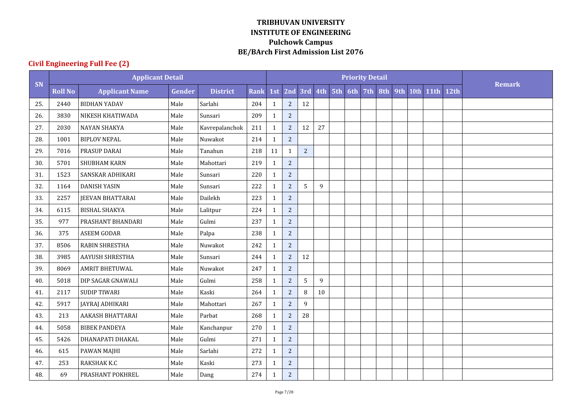|     |                | <b>Applicant Detail</b> |               |                 |             |              |                |                |    | <b>Priority Detail</b> |     |     |      |             |      |               |
|-----|----------------|-------------------------|---------------|-----------------|-------------|--------------|----------------|----------------|----|------------------------|-----|-----|------|-------------|------|---------------|
| SN  | <b>Roll No</b> | <b>Applicant Name</b>   | <b>Gender</b> | <b>District</b> | <b>Rank</b> | 1st          | 2nd            |                |    | 3rd 4th 5th 6th 7th    | 8th | 9th | 10th | <b>11th</b> | 12th | <b>Remark</b> |
| 25. | 2440           | <b>BIDHAN YADAV</b>     | Male          | Sarlahi         | 204         | $\mathbf{1}$ | $\sqrt{2}$     | 12             |    |                        |     |     |      |             |      |               |
| 26. | 3830           | NIKESH KHATIWADA        | Male          | Sunsari         | 209         | $\mathbf{1}$ | $\overline{c}$ |                |    |                        |     |     |      |             |      |               |
| 27. | 2030           | <b>NAYAN SHAKYA</b>     | Male          | Kavrepalanchok  | 211         | $\mathbf{1}$ | $\overline{c}$ | 12             | 27 |                        |     |     |      |             |      |               |
| 28. | 1001           | <b>BIPLOV NEPAL</b>     | Male          | Nuwakot         | 214         | 1            | $\sqrt{2}$     |                |    |                        |     |     |      |             |      |               |
| 29. | 7016           | PRASUP DARAI            | Male          | Tanahun         | 218         | 11           | $\mathbf{1}$   | $\overline{2}$ |    |                        |     |     |      |             |      |               |
| 30. | 5701           | SHUBHAM KARN            | Male          | Mahottari       | 219         | $\mathbf{1}$ | $\sqrt{2}$     |                |    |                        |     |     |      |             |      |               |
| 31. | 1523           | SANSKAR ADHIKARI        | Male          | Sunsari         | 220         | 1            | $\sqrt{2}$     |                |    |                        |     |     |      |             |      |               |
| 32. | 1164           | <b>DANISH YASIN</b>     | Male          | Sunsari         | 222         | $\mathbf{1}$ | $\overline{c}$ | 5              | 9  |                        |     |     |      |             |      |               |
| 33. | 2257           | <b>JEEVAN BHATTARAI</b> | Male          | Dailekh         | 223         | $\mathbf{1}$ | $\overline{c}$ |                |    |                        |     |     |      |             |      |               |
| 34. | 6115           | <b>BISHAL SHAKYA</b>    | Male          | Lalitpur        | 224         | $\mathbf{1}$ | $\overline{c}$ |                |    |                        |     |     |      |             |      |               |
| 35. | 977            | PRASHANT BHANDARI       | Male          | Gulmi           | 237         | 1            | $\sqrt{2}$     |                |    |                        |     |     |      |             |      |               |
| 36. | 375            | <b>ASEEM GODAR</b>      | Male          | Palpa           | 238         | $\mathbf{1}$ | $\overline{c}$ |                |    |                        |     |     |      |             |      |               |
| 37. | 8506           | <b>RABIN SHRESTHA</b>   | Male          | Nuwakot         | 242         | $\mathbf{1}$ | $\sqrt{2}$     |                |    |                        |     |     |      |             |      |               |
| 38. | 3985           | AAYUSH SHRESTHA         | Male          | Sunsari         | 244         | $\mathbf{1}$ | $\sqrt{2}$     | 12             |    |                        |     |     |      |             |      |               |
| 39. | 8069           | <b>AMRIT BHETUWAL</b>   | Male          | Nuwakot         | 247         | $\mathbf{1}$ | $\overline{c}$ |                |    |                        |     |     |      |             |      |               |
| 40. | 5018           | DIP SAGAR GNAWALI       | Male          | Gulmi           | 258         | $\mathbf{1}$ | $\overline{2}$ | 5              | 9  |                        |     |     |      |             |      |               |
| 41. | 2117           | <b>SUDIP TIWARI</b>     | Male          | Kaski           | 264         | $\mathbf{1}$ | $\sqrt{2}$     | 8              | 10 |                        |     |     |      |             |      |               |
| 42. | 5917           | JAYRAJ ADHIKARI         | Male          | Mahottari       | 267         | $\mathbf{1}$ | $\overline{c}$ | 9              |    |                        |     |     |      |             |      |               |
| 43. | 213            | <b>AAKASH BHATTARAI</b> | Male          | Parbat          | 268         | $\mathbf{1}$ | $\overline{c}$ | 28             |    |                        |     |     |      |             |      |               |
| 44. | 5058           | <b>BIBEK PANDEYA</b>    | Male          | Kanchanpur      | 270         | $\mathbf{1}$ | $\sqrt{2}$     |                |    |                        |     |     |      |             |      |               |
| 45. | 5426           | DHANAPATI DHAKAL        | Male          | Gulmi           | 271         | $\mathbf{1}$ | $\overline{c}$ |                |    |                        |     |     |      |             |      |               |
| 46. | 615            | PAWAN MAJHI             | Male          | Sarlahi         | 272         | $\mathbf{1}$ | $\overline{c}$ |                |    |                        |     |     |      |             |      |               |
| 47. | 253            | RAKSHAK K.C             | Male          | Kaski           | 273         | 1            | $\sqrt{2}$     |                |    |                        |     |     |      |             |      |               |
| 48. | 69             | PRASHANT POKHREL        | Male          | Dang            | 274         | 1            | $\sqrt{2}$     |                |    |                        |     |     |      |             |      |               |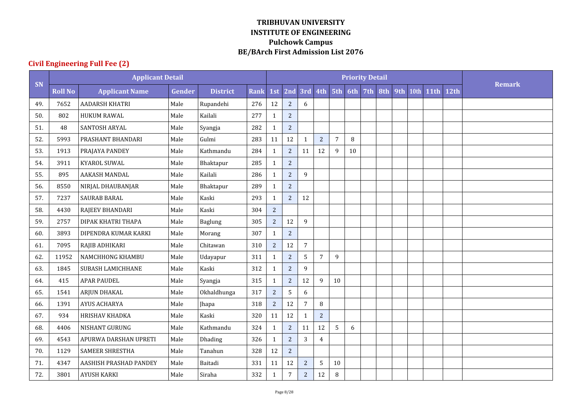|     |                | <b>Applicant Detail</b> |        |                 |             |                |                |                |                |                |        | <b>Priority Detail</b> |     |     |      |             |      |               |
|-----|----------------|-------------------------|--------|-----------------|-------------|----------------|----------------|----------------|----------------|----------------|--------|------------------------|-----|-----|------|-------------|------|---------------|
| SN  | <b>Roll No</b> | <b>Applicant Name</b>   | Gender | <b>District</b> | <b>Rank</b> | 1st            | 2nd            |                | 3rd 4th 5th    |                | 6th    | 7th                    | 8th | 9th | 10th | <b>11th</b> | 12th | <b>Remark</b> |
| 49. | 7652           | <b>AADARSH KHATRI</b>   | Male   | Rupandehi       | 276         | 12             | $\sqrt{2}$     | 6              |                |                |        |                        |     |     |      |             |      |               |
| 50. | 802            | <b>HUKUM RAWAL</b>      | Male   | Kailali         | 277         | $\mathbf{1}$   | $\overline{2}$ |                |                |                |        |                        |     |     |      |             |      |               |
| 51. | 48             | SANTOSH ARYAL           | Male   | Syangja         | 282         | $\mathbf{1}$   | $\overline{c}$ |                |                |                |        |                        |     |     |      |             |      |               |
| 52. | 5993           | PRASHANT BHANDARI       | Male   | Gulmi           | 283         | $11\,$         | 12             | $\mathbf{1}$   | $\overline{c}$ | $\overline{7}$ | $\, 8$ |                        |     |     |      |             |      |               |
| 53. | 1913           | PRAJAYA PANDEY          | Male   | Kathmandu       | 284         | $\mathbf{1}$   | $\overline{c}$ | 11             | 12             | 9              | 10     |                        |     |     |      |             |      |               |
| 54. | 3911           | <b>KYAROL SUWAL</b>     | Male   | Bhaktapur       | 285         | $\mathbf{1}$   | $\overline{c}$ |                |                |                |        |                        |     |     |      |             |      |               |
| 55. | 895            | AAKASH MANDAL           | Male   | Kailali         | 286         | $\mathbf{1}$   | $\overline{c}$ | 9              |                |                |        |                        |     |     |      |             |      |               |
| 56. | 8550           | NIRJAL DHAUBANJAR       | Male   | Bhaktapur       | 289         | $\mathbf{1}$   | $\overline{2}$ |                |                |                |        |                        |     |     |      |             |      |               |
| 57. | 7237           | <b>SAURAB BARAL</b>     | Male   | Kaski           | 293         | $\mathbf{1}$   | $\overline{c}$ | 12             |                |                |        |                        |     |     |      |             |      |               |
| 58. | 4430           | RAJEEV BHANDARI         | Male   | Kaski           | 304         | $\overline{c}$ |                |                |                |                |        |                        |     |     |      |             |      |               |
| 59. | 2757           | DIPAK KHATRI THAPA      | Male   | Baglung         | 305         | $\overline{c}$ | 12             | 9              |                |                |        |                        |     |     |      |             |      |               |
| 60. | 3893           | DIPENDRA KUMAR KARKI    | Male   | Morang          | 307         | $\mathbf{1}$   | $\overline{c}$ |                |                |                |        |                        |     |     |      |             |      |               |
| 61. | 7095           | RAJIB ADHIKARI          | Male   | Chitawan        | 310         | $\overline{2}$ | 12             | $\overline{7}$ |                |                |        |                        |     |     |      |             |      |               |
| 62. | 11952          | NAMCHHONG KHAMBU        | Male   | Udayapur        | 311         | $\mathbf{1}$   | $\overline{c}$ | 5              | $\overline{7}$ | 9              |        |                        |     |     |      |             |      |               |
| 63. | 1845           | SUBASH LAMICHHANE       | Male   | Kaski           | 312         | $\mathbf{1}$   | $\overline{c}$ | 9              |                |                |        |                        |     |     |      |             |      |               |
| 64. | 415            | <b>APAR PAUDEL</b>      | Male   | Syangja         | 315         | $\mathbf{1}$   | $\sqrt{2}$     | 12             | 9              | 10             |        |                        |     |     |      |             |      |               |
| 65. | 1541           | ARJUN DHAKAL            | Male   | Okhaldhunga     | 317         | $\overline{2}$ | 5              | 6              |                |                |        |                        |     |     |      |             |      |               |
| 66. | 1391           | <b>AYUS ACHARYA</b>     | Male   | Jhapa           | 318         | $\overline{c}$ | 12             | $\overline{7}$ | 8              |                |        |                        |     |     |      |             |      |               |
| 67. | 934            | HRISHAV KHADKA          | Male   | Kaski           | 320         | $11\,$         | 12             | $\mathbf{1}$   | $\overline{c}$ |                |        |                        |     |     |      |             |      |               |
| 68. | 4406           | NISHANT GURUNG          | Male   | Kathmandu       | 324         | $\mathbf{1}$   | $\sqrt{2}$     | 11             | $12\,$         | 5              | 6      |                        |     |     |      |             |      |               |
| 69. | 4543           | APURWA DARSHAN UPRETI   | Male   | Dhading         | 326         | $\mathbf{1}$   | $\overline{2}$ | 3              | $\overline{4}$ |                |        |                        |     |     |      |             |      |               |
| 70. | 1129           | <b>SAMEER SHRESTHA</b>  | Male   | Tanahun         | 328         | 12             | $\overline{c}$ |                |                |                |        |                        |     |     |      |             |      |               |
| 71. | 4347           | AASHISH PRASHAD PANDEY  | Male   | Baitadi         | 331         | 11             | 12             | $\sqrt{2}$     | 5              | 10             |        |                        |     |     |      |             |      |               |
| 72. | 3801           | <b>AYUSH KARKI</b>      | Male   | Siraha          | 332         | 1              | $\overline{7}$ | $\sqrt{2}$     | $12\,$         | 8              |        |                        |     |     |      |             |      |               |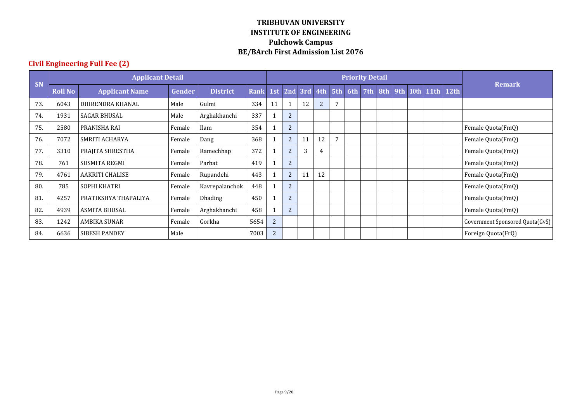|           |                | <b>Applicant Detail</b> |        |                 |      |                |                |    |                |     |     | <b>Priority Detail</b> |     |  |               |      |                                 |
|-----------|----------------|-------------------------|--------|-----------------|------|----------------|----------------|----|----------------|-----|-----|------------------------|-----|--|---------------|------|---------------------------------|
| <b>SN</b> | <b>Roll No</b> | <b>Applicant Name</b>   | Gender | <b>District</b> | Rank | 1st            | 2nd 3rd 4th    |    |                | 5th | 6th | 7th                    | 8th |  | 9th 10th 11th | 12th | <b>Remark</b>                   |
| 73.       | 6043           | DHIRENDRA KHANAL        | Male   | Gulmi           | 334  | 11             | 1              | 12 | $\overline{2}$ | 7   |     |                        |     |  |               |      |                                 |
| 74.       | 1931           | <b>SAGAR BHUSAL</b>     | Male   | Arghakhanchi    | 337  |                | $2^{\circ}$    |    |                |     |     |                        |     |  |               |      |                                 |
| 75.       | 2580           | PRANISHA RAI            | Female | Ilam            | 354  |                | 2              |    |                |     |     |                        |     |  |               |      | Female Quota(FmQ)               |
| 76.       | 7072           | SMRITI ACHARYA          | Female | Dang            | 368  |                | $\overline{2}$ | 11 | 12             | 7   |     |                        |     |  |               |      | Female Quota(FmQ)               |
| 77.       | 3310           | PRAJITA SHRESTHA        | Female | Ramechhap       | 372  |                | 2              | 3  | 4              |     |     |                        |     |  |               |      | Female Quota(FmQ)               |
| 78.       | 761            | SUSMITA REGMI           | Female | Parbat          | 419  |                | $\overline{2}$ |    |                |     |     |                        |     |  |               |      | Female Quota(FmQ)               |
| 79.       | 4761           | <b>AAKRITI CHALISE</b>  | Female | Rupandehi       | 443  |                | 2              | 11 | 12             |     |     |                        |     |  |               |      | Female Quota(FmQ)               |
| 80.       | 785            | SOPHI KHATRI            | Female | Kavrepalanchok  | 448  |                | $\overline{2}$ |    |                |     |     |                        |     |  |               |      | Female Quota(FmQ)               |
| 81        | 4257           | PRATIKSHYA THAPALIYA    | Female | Dhading         | 450  |                | $\overline{2}$ |    |                |     |     |                        |     |  |               |      | Female Quota(FmQ)               |
| 82.       | 4939           | <b>ASMITA BHUSAL</b>    | Female | Arghakhanchi    | 458  |                | 2              |    |                |     |     |                        |     |  |               |      | Female Quota(FmQ)               |
| 83.       | 1242           | <b>AMBIKA SUNAR</b>     | Female | Gorkha          | 5654 | $\overline{2}$ |                |    |                |     |     |                        |     |  |               |      | Government Sponsored Quota(GvS) |
| 84.       | 6636           | <b>SIBESH PANDEY</b>    | Male   |                 | 7003 | $\overline{2}$ |                |    |                |     |     |                        |     |  |               |      | Foreign Quota(FrQ)              |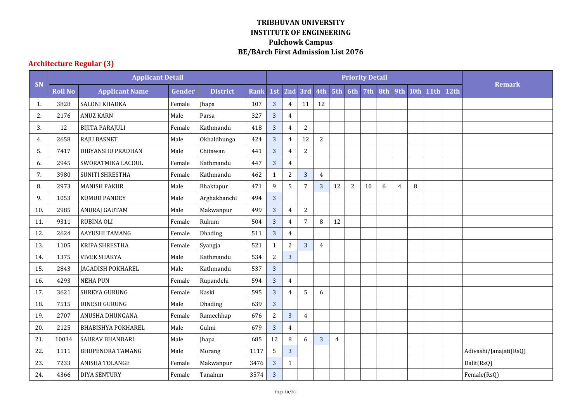# **Architecture Regular (3)**

|     |                | <b>Applicant Detail</b>  |        |                 |             |                |                |                |                |     |                | <b>Priority Detail</b> |     |                |        |             |      |                        |
|-----|----------------|--------------------------|--------|-----------------|-------------|----------------|----------------|----------------|----------------|-----|----------------|------------------------|-----|----------------|--------|-------------|------|------------------------|
| SN  | <b>Roll No</b> | <b>Applicant Name</b>    | Gender | <b>District</b> | <b>Rank</b> | 1st            | 2nd            | 3rd            | 4th            | 5th | 6th            | 7th                    | 8th | 9th            | 10th   | <b>11th</b> | 12th | <b>Remark</b>          |
| 1.  | 3828           | SALONI KHADKA            | Female | Jhapa           | 107         | 3              | $\overline{4}$ | 11             | 12             |     |                |                        |     |                |        |             |      |                        |
| 2.  | 2176           | <b>ANUZ KARN</b>         | Male   | Parsa           | 327         | 3              | $\overline{4}$ |                |                |     |                |                        |     |                |        |             |      |                        |
| 3.  | 12             | <b>BIJITA PARAJULI</b>   | Female | Kathmandu       | 418         | $\overline{3}$ | $\overline{4}$ | $\overline{2}$ |                |     |                |                        |     |                |        |             |      |                        |
| 4.  | 2658           | <b>RAJU BASNET</b>       | Male   | Okhaldhunga     | 424         | $\overline{3}$ | $\overline{4}$ | 12             | $\overline{2}$ |     |                |                        |     |                |        |             |      |                        |
| 5.  | 7417           | DIBYANSHU PRADHAN        | Male   | Chitawan        | 441         | $\overline{3}$ | $\overline{4}$ | $\sqrt{2}$     |                |     |                |                        |     |                |        |             |      |                        |
| 6.  | 2945           | SWORATMIKA LACOUL        | Female | Kathmandu       | 447         | $\overline{3}$ | $\overline{4}$ |                |                |     |                |                        |     |                |        |             |      |                        |
| 7.  | 3980           | SUNITI SHRESTHA          | Female | Kathmandu       | 462         | $\mathbf{1}$   | $\overline{c}$ | $\mathbf{3}$   | $\overline{4}$ |     |                |                        |     |                |        |             |      |                        |
| 8.  | 2973           | <b>MANISH PAKUR</b>      | Male   | Bhaktapur       | 471         | 9              | 5              | $\overline{7}$ | 3              | 12  | $\overline{2}$ | 10                     | 6   | $\overline{4}$ | $\, 8$ |             |      |                        |
| 9.  | 1053           | <b>KUMUD PANDEY</b>      | Male   | Arghakhanchi    | 494         | 3              |                |                |                |     |                |                        |     |                |        |             |      |                        |
| 10. | 2985           | <b>ANURAJ GAUTAM</b>     | Male   | Makwanpur       | 499         | $\overline{3}$ | $\overline{4}$ | $\overline{2}$ |                |     |                |                        |     |                |        |             |      |                        |
| 11. | 9311           | RUBINA OLI               | Female | Rukum           | 504         | $\overline{3}$ | $\overline{4}$ | 7              | 8              | 12  |                |                        |     |                |        |             |      |                        |
| 12. | 2624           | AAYUSHI TAMANG           | Female | Dhading         | 511         | 3              | $\overline{4}$ |                |                |     |                |                        |     |                |        |             |      |                        |
| 13. | 1105           | KRIPA SHRESTHA           | Female | Syangja         | 521         | $\mathbf{1}$   | $\overline{c}$ | $\overline{3}$ | $\overline{4}$ |     |                |                        |     |                |        |             |      |                        |
| 14. | 1375           | <b>VIVEK SHAKYA</b>      | Male   | Kathmandu       | 534         | $\overline{c}$ | $\overline{3}$ |                |                |     |                |                        |     |                |        |             |      |                        |
| 15. | 2843           | <b>JAGADISH POKHAREL</b> | Male   | Kathmandu       | 537         | 3              |                |                |                |     |                |                        |     |                |        |             |      |                        |
| 16. | 4293           | <b>NEHA PUN</b>          | Female | Rupandehi       | 594         | $\overline{3}$ | $\overline{4}$ |                |                |     |                |                        |     |                |        |             |      |                        |
| 17. | 3621           | SHREYA GURUNG            | Female | Kaski           | 595         | $\overline{3}$ | $\overline{4}$ | 5              | 6              |     |                |                        |     |                |        |             |      |                        |
| 18. | 7515           | DINESH GURUNG            | Male   | Dhading         | 639         | 3              |                |                |                |     |                |                        |     |                |        |             |      |                        |
| 19. | 2707           | ANUSHA DHUNGANA          | Female | Ramechhap       | 676         | $\overline{2}$ | 3              | $\overline{4}$ |                |     |                |                        |     |                |        |             |      |                        |
| 20. | 2125           | BHABISHYA POKHAREL       | Male   | Gulmi           | 679         | $\overline{3}$ | $\overline{4}$ |                |                |     |                |                        |     |                |        |             |      |                        |
| 21. | 10034          | <b>SAURAV BHANDARI</b>   | Male   | Jhapa           | 685         | 12             | $\, 8$         | 6              | 3              | 4   |                |                        |     |                |        |             |      |                        |
| 22. | 1111           | <b>BHUPENDRA TAMANG</b>  | Male   | Morang          | 1117        | 5              | 3              |                |                |     |                |                        |     |                |        |             |      | Adivashi/Janajati(RsQ) |
| 23. | 7233           | ANISHA TOLANGE           | Female | Makwanpur       | 3476        | $\overline{3}$ | $\mathbf{1}$   |                |                |     |                |                        |     |                |        |             |      | Dalit(RsQ)             |
| 24. | 4366           | <b>DIYA SENTURY</b>      | Female | Tanahun         | 3574        | $\mathbf{3}$   |                |                |                |     |                |                        |     |                |        |             |      | Female(RsQ)            |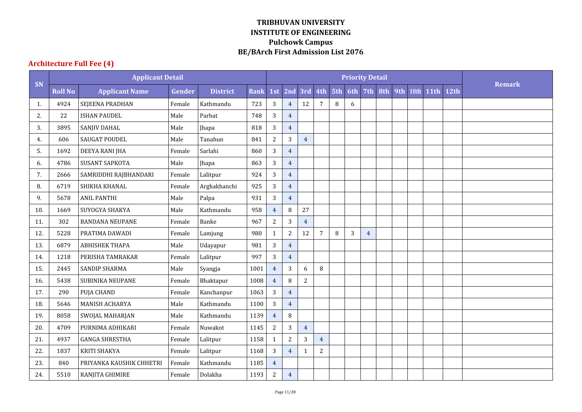# **Architecture Full Fee (4)**

|     |                | <b>Applicant Detail</b>  |        |                 |             |                |                  |                |                |        | <b>Priority Detail</b> |                |     |     |      |             |      |               |
|-----|----------------|--------------------------|--------|-----------------|-------------|----------------|------------------|----------------|----------------|--------|------------------------|----------------|-----|-----|------|-------------|------|---------------|
| SN  | <b>Roll No</b> | <b>Applicant Name</b>    | Gender | <b>District</b> | <b>Rank</b> | 1st            | 2nd              |                | 3rd 4th 5th    |        | 6th                    | 7th            | 8th | 9th | 10th | <b>11th</b> | 12th | <b>Remark</b> |
| 1.  | 4924           | SEJEENA PRADHAN          | Female | Kathmandu       | 723         | 3              | $\overline{4}$   | 12             | $\overline{7}$ | $\, 8$ | $\boldsymbol{6}$       |                |     |     |      |             |      |               |
| 2.  | 22             | <b>ISHAN PAUDEL</b>      | Male   | Parbat          | 748         | 3              | $\overline{4}$   |                |                |        |                        |                |     |     |      |             |      |               |
| 3.  | 3895           | SANJIV DAHAL             | Male   | Jhapa           | 818         | 3              | $\overline{4}$   |                |                |        |                        |                |     |     |      |             |      |               |
| 4.  | 606            | <b>SAUGAT POUDEL</b>     | Male   | Tanahun         | 841         | $\overline{c}$ | $\sqrt{3}$       | $\overline{4}$ |                |        |                        |                |     |     |      |             |      |               |
| 5.  | 1692           | DEEYA RANI JHA           | Female | Sarlahi         | 860         | 3              | $\overline{4}$   |                |                |        |                        |                |     |     |      |             |      |               |
| 6.  | 4786           | <b>SUSANT SAPKOTA</b>    | Male   | Jhapa           | 863         | $\overline{3}$ | $\overline{4}$   |                |                |        |                        |                |     |     |      |             |      |               |
| 7.  | 2666           | SAMRIDDHI RAJBHANDARI    | Female | Lalitpur        | 924         | 3              | $\overline{4}$   |                |                |        |                        |                |     |     |      |             |      |               |
| 8.  | 6719           | SHIKHA KHANAL            | Female | Arghakhanchi    | 925         | $\overline{3}$ | $\boldsymbol{4}$ |                |                |        |                        |                |     |     |      |             |      |               |
| 9.  | 5678           | <b>ANIL PANTHI</b>       | Male   | Palpa           | 931         | 3              | $\overline{4}$   |                |                |        |                        |                |     |     |      |             |      |               |
| 10. | 1669           | SUYOGYA SHAKYA           | Male   | Kathmandu       | 958         | $\overline{4}$ | $\, 8$           | 27             |                |        |                        |                |     |     |      |             |      |               |
| 11. | 302            | <b>BANDANA NEUPANE</b>   | Female | Banke           | 967         | $\overline{c}$ | $\sqrt{3}$       | $\overline{4}$ |                |        |                        |                |     |     |      |             |      |               |
| 12. | 5228           | PRATIMA DAWADI           | Female | Lamjung         | 980         | $\mathbf{1}$   | $\overline{2}$   | 12             | $\overline{7}$ | 8      | $\overline{3}$         | $\overline{4}$ |     |     |      |             |      |               |
| 13. | 6879           | <b>ABHISHEK THAPA</b>    | Male   | Udayapur        | 981         | 3              | $\overline{4}$   |                |                |        |                        |                |     |     |      |             |      |               |
| 14. | 1218           | PERISHA TAMRAKAR         | Female | Lalitpur        | 997         | 3              | $\overline{4}$   |                |                |        |                        |                |     |     |      |             |      |               |
| 15. | 2445           | SANDIP SHARMA            | Male   | Syangja         | 1001        | $\overline{4}$ | 3                | 6              | 8              |        |                        |                |     |     |      |             |      |               |
| 16. | 5438           | SUBINIKA NEUPANE         | Female | Bhaktapur       | 1008        | $\overline{4}$ | $\, 8$           | $\overline{2}$ |                |        |                        |                |     |     |      |             |      |               |
| 17. | 290            | PUJA CHAND               | Female | Kanchanpur      | 1063        | 3              | $\overline{4}$   |                |                |        |                        |                |     |     |      |             |      |               |
| 18. | 5646           | <b>MANISH ACHARYA</b>    | Male   | Kathmandu       | 1100        | 3              | $\overline{4}$   |                |                |        |                        |                |     |     |      |             |      |               |
| 19. | 8058           | SWOJAL MAHARJAN          | Male   | Kathmandu       | 1139        | $\overline{4}$ | 8                |                |                |        |                        |                |     |     |      |             |      |               |
| 20. | 4709           | PURNIMA ADHIKARI         | Female | Nuwakot         | 1145        | $\sqrt{2}$     | $\overline{3}$   | $\overline{4}$ |                |        |                        |                |     |     |      |             |      |               |
| 21. | 4937           | <b>GANGA SHRESTHA</b>    | Female | Lalitpur        | 1158        | $\mathbf{1}$   | $\sqrt{2}$       | 3              | $\overline{4}$ |        |                        |                |     |     |      |             |      |               |
| 22. | 1837           | <b>KRITI SHAKYA</b>      | Female | Lalitpur        | 1168        | 3              | $\overline{4}$   | $\mathbf{1}$   | $\overline{c}$ |        |                        |                |     |     |      |             |      |               |
| 23. | 840            | PRIYANKA KAUSHIK CHHETRI | Female | Kathmandu       | 1185        | $\overline{4}$ |                  |                |                |        |                        |                |     |     |      |             |      |               |
| 24. | 5510           | RANJITA GHIMIRE          | Female | Dolakha         | 1193        | $\overline{c}$ | $\overline{4}$   |                |                |        |                        |                |     |     |      |             |      |               |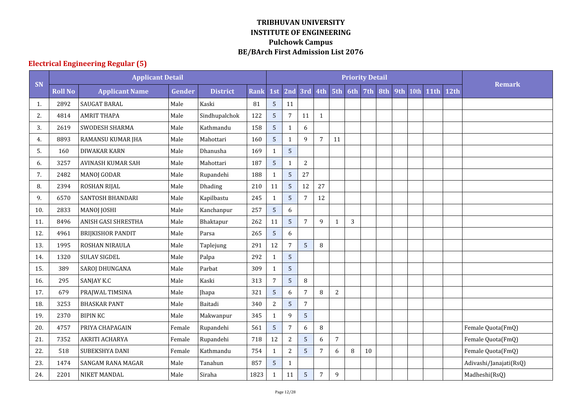# **Electrical Engineering Regular (5)**

|     |                | <b>Applicant Detail</b>  |        |                 |             |                |                |                |                |                |              | <b>Priority Detail</b> |     |     |      |             |                  |                        |
|-----|----------------|--------------------------|--------|-----------------|-------------|----------------|----------------|----------------|----------------|----------------|--------------|------------------------|-----|-----|------|-------------|------------------|------------------------|
| SN  | <b>Roll No</b> | <b>Applicant Name</b>    | Gender | <b>District</b> | <b>Rank</b> | 1st            | 2nd            |                | $3rd$ 4th      | 5th            | 6th          | 7th                    | 8th | 9th | 10th | <b>11th</b> | 12 <sub>th</sub> | <b>Remark</b>          |
| 1.  | 2892           | SAUGAT BARAL             | Male   | Kaski           | 81          | 5              | 11             |                |                |                |              |                        |     |     |      |             |                  |                        |
| 2.  | 4814           | <b>AMRIT THAPA</b>       | Male   | Sindhupalchok   | 122         | 5              | $\overline{7}$ | 11             | $\mathbf{1}$   |                |              |                        |     |     |      |             |                  |                        |
| 3.  | 2619           | SWODESH SHARMA           | Male   | Kathmandu       | 158         | 5 <sup>1</sup> | $1\,$          | 6              |                |                |              |                        |     |     |      |             |                  |                        |
| 4.  | 8893           | RAMANSU KUMAR JHA        | Male   | Mahottari       | 160         | 5              | $\mathbf{1}$   | 9              | $\overline{7}$ | 11             |              |                        |     |     |      |             |                  |                        |
| 5.  | 160            | <b>DIWAKAR KARN</b>      | Male   | Dhanusha        | 169         | $\mathbf{1}$   | $\overline{5}$ |                |                |                |              |                        |     |     |      |             |                  |                        |
| 6.  | 3257           | <b>AVINASH KUMAR SAH</b> | Male   | Mahottari       | 187         | 5              | $\mathbf{1}$   | $\overline{2}$ |                |                |              |                        |     |     |      |             |                  |                        |
| 7.  | 2482           | <b>MANOJ GODAR</b>       | Male   | Rupandehi       | 188         | 1              | $\overline{5}$ | 27             |                |                |              |                        |     |     |      |             |                  |                        |
| 8.  | 2394           | ROSHAN RIJAL             | Male   | Dhading         | 210         | 11             | 5              | 12             | 27             |                |              |                        |     |     |      |             |                  |                        |
| 9.  | 6570           | SANTOSH BHANDARI         | Male   | Kapilbastu      | 245         | $\mathbf{1}$   | $\overline{5}$ | 7              | 12             |                |              |                        |     |     |      |             |                  |                        |
| 10. | 2833           | <b>MANOJ JOSHI</b>       | Male   | Kanchanpur      | 257         | 5              | 6              |                |                |                |              |                        |     |     |      |             |                  |                        |
| 11. | 8496           | ANISH GASI SHRESTHA      | Male   | Bhaktapur       | 262         | 11             | $\overline{5}$ | 7              | 9              | $\mathbf{1}$   | $\mathbf{3}$ |                        |     |     |      |             |                  |                        |
| 12. | 4961           | <b>BRIJKISHOR PANDIT</b> | Male   | Parsa           | 265         | 5              | 6              |                |                |                |              |                        |     |     |      |             |                  |                        |
| 13. | 1995           | ROSHAN NIRAULA           | Male   | Taplejung       | 291         | 12             | $\overline{7}$ | 5              | $\, 8$         |                |              |                        |     |     |      |             |                  |                        |
| 14. | 1320           | <b>SULAV SIGDEL</b>      | Male   | Palpa           | 292         | $\mathbf{1}$   | $\overline{5}$ |                |                |                |              |                        |     |     |      |             |                  |                        |
| 15. | 389            | <b>SAROJ DHUNGANA</b>    | Male   | Parbat          | 309         | $\mathbf{1}$   | 5              |                |                |                |              |                        |     |     |      |             |                  |                        |
| 16. | 295            | SANJAY K.C               | Male   | Kaski           | 313         | 7              | 5              | 8              |                |                |              |                        |     |     |      |             |                  |                        |
| 17. | 679            | PRAJWAL TIMSINA          | Male   | Jhapa           | 321         | 5              | 6              | 7              | 8              | $\overline{c}$ |              |                        |     |     |      |             |                  |                        |
| 18. | 3253           | <b>BHASKAR PANT</b>      | Male   | Baitadi         | 340         | $\overline{c}$ | $\overline{5}$ | 7              |                |                |              |                        |     |     |      |             |                  |                        |
| 19. | 2370           | <b>BIPIN KC</b>          | Male   | Makwanpur       | 345         | $\mathbf{1}$   | 9              | 5              |                |                |              |                        |     |     |      |             |                  |                        |
| 20. | 4757           | PRIYA CHAPAGAIN          | Female | Rupandehi       | 561         | 5              | $\overline{7}$ | 6              | 8              |                |              |                        |     |     |      |             |                  | Female Quota(FmQ)      |
| 21. | 7352           | AKRITI ACHARYA           | Female | Rupandehi       | 718         | 12             | $\sqrt{2}$     | 5              | 6              | 7              |              |                        |     |     |      |             |                  | Female Quota(FmQ)      |
| 22. | 518            | SUBEKSHYA DANI           | Female | Kathmandu       | 754         | $\mathbf{1}$   | $\overline{c}$ | 5              | $\overline{7}$ | 6              | $\, 8$       | 10                     |     |     |      |             |                  | Female Quota(FmQ)      |
| 23. | 1474           | SANGAM RANA MAGAR        | Male   | Tanahun         | 857         | $\overline{5}$ | $\mathbf{1}$   |                |                |                |              |                        |     |     |      |             |                  | Adivashi/Janajati(RsQ) |
| 24. | 2201           | NIKET MANDAL             | Male   | Siraha          | 1823        | $\mathbf{1}$   | 11             | 5              | 7              | 9              |              |                        |     |     |      |             |                  | Madheshi(RsQ)          |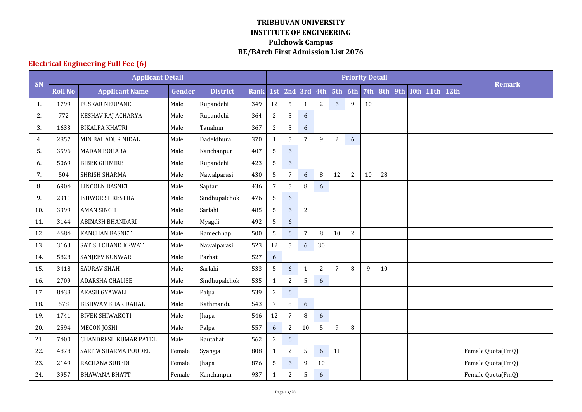# **Electrical Engineering Full Fee (6)**

|     |                | <b>Applicant Detail</b>      |               |                 |             |                  |                  |                |                |                | <b>Priority Detail</b> |                 |     |     |      |             |      |                   |
|-----|----------------|------------------------------|---------------|-----------------|-------------|------------------|------------------|----------------|----------------|----------------|------------------------|-----------------|-----|-----|------|-------------|------|-------------------|
| SN  | <b>Roll No</b> | <b>Applicant Name</b>        | <b>Gender</b> | <b>District</b> | <b>Rank</b> | 1st              | 2nd              |                | $3rd$ 4th      | 5th            | 6th                    | 7 <sub>th</sub> | 8th | 9th | 10th | <b>11th</b> | 12th | <b>Remark</b>     |
| 1.  | 1799           | <b>PUSKAR NEUPANE</b>        | Male          | Rupandehi       | 349         | 12               | 5                | $\mathbf{1}$   | $\overline{2}$ | 6              | 9                      | 10              |     |     |      |             |      |                   |
| 2.  | 772            | KESHAV RAJ ACHARYA           | Male          | Rupandehi       | 364         | $\overline{2}$   | 5                | 6              |                |                |                        |                 |     |     |      |             |      |                   |
| 3.  | 1633           | <b>BIKALPA KHATRI</b>        | Male          | Tanahun         | 367         | $\overline{2}$   | 5                | 6              |                |                |                        |                 |     |     |      |             |      |                   |
| 4.  | 2857           | MIN BAHADUR NIDAL            | Male          | Dadeldhura      | 370         | $\mathbf{1}$     | 5                | $\overline{7}$ | 9              | 2              | 6                      |                 |     |     |      |             |      |                   |
| 5.  | 3596           | <b>MADAN BOHARA</b>          | Male          | Kanchanpur      | 407         | 5                | 6                |                |                |                |                        |                 |     |     |      |             |      |                   |
| 6.  | 5069           | <b>BIBEK GHIMIRE</b>         | Male          | Rupandehi       | 423         | 5                | 6                |                |                |                |                        |                 |     |     |      |             |      |                   |
| 7.  | 504            | SHRISH SHARMA                | Male          | Nawalparasi     | 430         | 5                | $\overline{7}$   | 6              | 8              | 12             | $\overline{2}$         | 10              | 28  |     |      |             |      |                   |
| 8.  | 6904           | <b>LINCOLN BASNET</b>        | Male          | Saptari         | 436         | $\overline{7}$   | 5                | $\, 8$         | 6              |                |                        |                 |     |     |      |             |      |                   |
| 9.  | 2311           | <b>ISHWOR SHRESTHA</b>       | Male          | Sindhupalchok   | 476         | 5                | 6                |                |                |                |                        |                 |     |     |      |             |      |                   |
| 10. | 3399           | <b>AMAN SINGH</b>            | Male          | Sarlahi         | 485         | $5\overline{)}$  | $\boldsymbol{6}$ | $\overline{2}$ |                |                |                        |                 |     |     |      |             |      |                   |
| 11. | 3144           | <b>ABINASH BHANDARI</b>      | Male          | Myagdi          | 492         | 5                | $6\,$            |                |                |                |                        |                 |     |     |      |             |      |                   |
| 12. | 4684           | <b>KANCHAN BASNET</b>        | Male          | Ramechhap       | 500         | 5                | 6                | 7              | 8              | 10             | $\overline{2}$         |                 |     |     |      |             |      |                   |
| 13. | 3163           | SATISH CHAND KEWAT           | Male          | Nawalparasi     | 523         | 12               | 5                | 6              | 30             |                |                        |                 |     |     |      |             |      |                   |
| 14. | 5828           | <b>SANJEEV KUNWAR</b>        | Male          | Parbat          | 527         | 6                |                  |                |                |                |                        |                 |     |     |      |             |      |                   |
| 15. | 3418           | <b>SAURAV SHAH</b>           | Male          | Sarlahi         | 533         | 5                | 6                | $\mathbf{1}$   | $\overline{2}$ | $\overline{7}$ | 8                      | 9               | 10  |     |      |             |      |                   |
| 16. | 2709           | ADARSHA CHALISE              | Male          | Sindhupalchok   | 535         | $\mathbf{1}$     | $\overline{2}$   | 5              | 6              |                |                        |                 |     |     |      |             |      |                   |
| 17. | 8438           | AKASH GYAWALI                | Male          | Palpa           | 539         | $\overline{c}$   | $\boldsymbol{6}$ |                |                |                |                        |                 |     |     |      |             |      |                   |
| 18. | 578            | <b>BISHWAMBHAR DAHAL</b>     | Male          | Kathmandu       | 543         | $\overline{7}$   | $\, 8$           | 6              |                |                |                        |                 |     |     |      |             |      |                   |
| 19. | 1741           | <b>BIVEK SHIWAKOTI</b>       | Male          | Jhapa           | 546         | 12               | $\overline{7}$   | $\, 8$         | 6              |                |                        |                 |     |     |      |             |      |                   |
| 20. | 2594           | <b>MECON JOSHI</b>           | Male          | Palpa           | 557         | $\boldsymbol{6}$ | $\sqrt{2}$       | 10             | 5              | 9              | $\, 8$                 |                 |     |     |      |             |      |                   |
| 21. | 7400           | <b>CHANDRESH KUMAR PATEL</b> | Male          | Rautahat        | 562         | $\overline{c}$   | $6\,$            |                |                |                |                        |                 |     |     |      |             |      |                   |
| 22. | 4878           | SARITA SHARMA POUDEL         | Female        | Syangja         | 808         | $\mathbf{1}$     | $\overline{2}$   | 5              | 6              | 11             |                        |                 |     |     |      |             |      | Female Quota(FmQ) |
| 23. | 2149           | RACHANA SUBEDI               | Female        | Jhapa           | 876         | $\sqrt{5}$       | $\boldsymbol{6}$ | 9              | $10\,$         |                |                        |                 |     |     |      |             |      | Female Quota(FmQ) |
| 24. | 3957           | <b>BHAWANA BHATT</b>         | Female        | Kanchanpur      | 937         | 1                | $\sqrt{2}$       | 5              | 6              |                |                        |                 |     |     |      |             |      | Female Quota(FmQ) |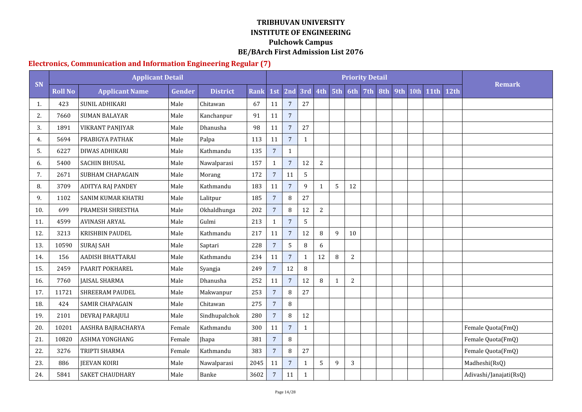#### **Electronics, Communication and Information Engineering Regular (7)**

|     |                | <b>Applicant Detail</b>  |        |                 |             |                 |                |              |                |              |                | <b>Priority Detail</b> |     |     |      |             |      |                        |
|-----|----------------|--------------------------|--------|-----------------|-------------|-----------------|----------------|--------------|----------------|--------------|----------------|------------------------|-----|-----|------|-------------|------|------------------------|
| SN  | <b>Roll No</b> | <b>Applicant Name</b>    | Gender | <b>District</b> | <b>Rank</b> | 1st             | 2nd            | 3rd          | 4th 5th        |              | 6th            | 7th                    | 8th | 9th | 10th | <b>11th</b> | 12th | <b>Remark</b>          |
| 1.  | 423            | <b>SUNIL ADHIKARI</b>    | Male   | Chitawan        | 67          | 11              | $\overline{7}$ | 27           |                |              |                |                        |     |     |      |             |      |                        |
| 2.  | 7660           | <b>SUMAN BALAYAR</b>     | Male   | Kanchanpur      | 91          | 11              | $\overline{7}$ |              |                |              |                |                        |     |     |      |             |      |                        |
| 3.  | 1891           | <b>VIKRANT PANJIYAR</b>  | Male   | Dhanusha        | 98          | $11\,$          | $\overline{7}$ | 27           |                |              |                |                        |     |     |      |             |      |                        |
| 4.  | 5694           | PRABIGYA PATHAK          | Male   | Palpa           | 113         | $11\,$          | $\overline{7}$ | $\mathbf{1}$ |                |              |                |                        |     |     |      |             |      |                        |
| 5.  | 6227           | DIWAS ADHIKARI           | Male   | Kathmandu       | 135         | $7\phantom{.}$  | $\mathbf{1}$   |              |                |              |                |                        |     |     |      |             |      |                        |
| 6.  | 5400           | <b>SACHIN BHUSAL</b>     | Male   | Nawalparasi     | 157         | $\mathbf{1}$    | $\overline{7}$ | 12           | $\overline{c}$ |              |                |                        |     |     |      |             |      |                        |
| 7.  | 2671           | SUBHAM CHAPAGAIN         | Male   | Morang          | 172         | $7\overline{ }$ | 11             | 5            |                |              |                |                        |     |     |      |             |      |                        |
| 8.  | 3709           | <b>ADITYA RAJ PANDEY</b> | Male   | Kathmandu       | 183         | 11              | $\overline{7}$ | 9            | $\mathbf{1}$   | 5            | 12             |                        |     |     |      |             |      |                        |
| 9.  | 1102           | SANIM KUMAR KHATRI       | Male   | Lalitpur        | 185         | $\overline{7}$  | 8              | 27           |                |              |                |                        |     |     |      |             |      |                        |
| 10. | 699            | PRAMESH SHRESTHA         | Male   | Okhaldhunga     | 202         | $\overline{7}$  | 8              | 12           | 2              |              |                |                        |     |     |      |             |      |                        |
| 11. | 4599           | <b>AVINASH ARYAL</b>     | Male   | Gulmi           | 213         | $\mathbf{1}$    | $\overline{7}$ | 5            |                |              |                |                        |     |     |      |             |      |                        |
| 12. | 3213           | KRISHBIN PAUDEL          | Male   | Kathmandu       | 217         | 11              | $\overline{7}$ | 12           | 8              | 9            | 10             |                        |     |     |      |             |      |                        |
| 13. | 10590          | <b>SURAJ SAH</b>         | Male   | Saptari         | 228         | $7\overline{ }$ | 5              | 8            | 6              |              |                |                        |     |     |      |             |      |                        |
| 14. | 156            | <b>AADISH BHATTARAI</b>  | Male   | Kathmandu       | 234         | 11              | $\overline{7}$ | $\mathbf{1}$ | 12             | $\, 8$       | $\overline{2}$ |                        |     |     |      |             |      |                        |
| 15. | 2459           | PAARIT POKHAREL          | Male   | Syangja         | 249         | $\overline{7}$  | 12             | $\, 8$       |                |              |                |                        |     |     |      |             |      |                        |
| 16. | 7760           | <b>JAISAL SHARMA</b>     | Male   | Dhanusha        | 252         | 11              | $\overline{7}$ | 12           | 8              | $\mathbf{1}$ | 2              |                        |     |     |      |             |      |                        |
| 17. | 11721          | <b>SHREERAM PAUDEL</b>   | Male   | Makwanpur       | 253         | $7\overline{ }$ | 8              | 27           |                |              |                |                        |     |     |      |             |      |                        |
| 18. | 424            | <b>SAMIR CHAPAGAIN</b>   | Male   | Chitawan        | 275         | $\overline{7}$  | $\, 8$         |              |                |              |                |                        |     |     |      |             |      |                        |
| 19. | 2101           | DEVRAJ PARAJULI          | Male   | Sindhupalchok   | 280         | $\overline{7}$  | 8              | 12           |                |              |                |                        |     |     |      |             |      |                        |
| 20. | 10201          | AASHRA BAJRACHARYA       | Female | Kathmandu       | 300         | 11              | $\overline{7}$ | $\mathbf{1}$ |                |              |                |                        |     |     |      |             |      | Female Quota(FmQ)      |
| 21. | 10820          | ASHMA YONGHANG           | Female | <b>Jhapa</b>    | 381         | $\overline{7}$  | 8              |              |                |              |                |                        |     |     |      |             |      | Female Quota(FmQ)      |
| 22. | 3276           | TRIPTI SHARMA            | Female | Kathmandu       | 383         | $\overline{7}$  | 8              | 27           |                |              |                |                        |     |     |      |             |      | Female Quota(FmQ)      |
| 23. | 886            | <b>JEEVAN KOIRI</b>      | Male   | Nawalparasi     | 2045        | 11              | $\overline{7}$ | $\mathbf{1}$ | 5              | 9            | 3              |                        |     |     |      |             |      | Madheshi(RsQ)          |
| 24. | 5841           | SAKET CHAUDHARY          | Male   | Banke           | 3602        | $\overline{7}$  | 11             | $\mathbf 1$  |                |              |                |                        |     |     |      |             |      | Adivashi/Janajati(RsQ) |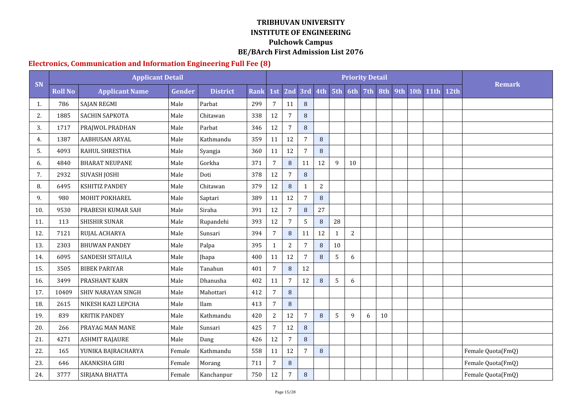#### **Electronics, Communication and Information Engineering Full Fee (8)**

|     |                | <b>Applicant Detail</b> |        |                 |             |                |                |                |            |              |                | <b>Priority Detail</b> |     |     |      |             |                  |                   |
|-----|----------------|-------------------------|--------|-----------------|-------------|----------------|----------------|----------------|------------|--------------|----------------|------------------------|-----|-----|------|-------------|------------------|-------------------|
| SN  | <b>Roll No</b> | <b>Applicant Name</b>   | Gender | <b>District</b> | <b>Rank</b> | 1st            |                | $2nd$ 3rd      | 4th 5th    |              | 6th            | 7th                    | 8th | 9th | 10th | <b>11th</b> | 12 <sub>th</sub> | <b>Remark</b>     |
| -1. | 786            | <b>SAJAN REGMI</b>      | Male   | Parbat          | 299         | 7              | 11             | 8              |            |              |                |                        |     |     |      |             |                  |                   |
| 2.  | 1885           | SACHIN SAPKOTA          | Male   | Chitawan        | 338         | 12             | $\overline{7}$ | 8              |            |              |                |                        |     |     |      |             |                  |                   |
| 3.  | 1717           | PRAJWOL PRADHAN         | Male   | Parbat          | 346         | 12             | $\overline{7}$ | 8              |            |              |                |                        |     |     |      |             |                  |                   |
| 4.  | 1387           | <b>AABHUSAN ARYAL</b>   | Male   | Kathmandu       | 359         | 11             | 12             | $\overline{7}$ | 8          |              |                |                        |     |     |      |             |                  |                   |
| 5.  | 4093           | <b>RAHUL SHRESTHA</b>   | Male   | Syangja         | 360         | 11             | 12             | 7              | 8          |              |                |                        |     |     |      |             |                  |                   |
| 6.  | 4840           | <b>BHARAT NEUPANE</b>   | Male   | Gorkha          | 371         | $\overline{7}$ | $\, 8$         | 11             | 12         | 9            | 10             |                        |     |     |      |             |                  |                   |
| 7.  | 2932           | <b>SUVASH JOSHI</b>     | Male   | Doti            | 378         | 12             | $\overline{7}$ | 8              |            |              |                |                        |     |     |      |             |                  |                   |
| 8.  | 6495           | <b>KSHITIZ PANDEY</b>   | Male   | Chitawan        | 379         | 12             | 8              | $\mathbf{1}$   | $\sqrt{2}$ |              |                |                        |     |     |      |             |                  |                   |
| 9.  | 980            | <b>MOHIT POKHAREL</b>   | Male   | Saptari         | 389         | 11             | 12             | $\overline{7}$ | 8          |              |                |                        |     |     |      |             |                  |                   |
| 10. | 9530           | PRABESH KUMAR SAH       | Male   | Siraha          | 391         | 12             | $\overline{7}$ | 8              | 27         |              |                |                        |     |     |      |             |                  |                   |
| 11. | 113            | <b>SHISHIR SUNAR</b>    | Male   | Rupandehi       | 393         | 12             | $\overline{7}$ | 5              | 8          | 28           |                |                        |     |     |      |             |                  |                   |
| 12. | 7121           | RUJAL ACHARYA           | Male   | Sunsari         | 394         | $\overline{7}$ | $\, 8$         | 11             | 12         | $\mathbf{1}$ | $\overline{2}$ |                        |     |     |      |             |                  |                   |
| 13. | 2303           | <b>BHUWAN PANDEY</b>    | Male   | Palpa           | 395         | $\mathbf{1}$   | $\sqrt{2}$     | 7              | 8          | $10\,$       |                |                        |     |     |      |             |                  |                   |
| 14. | 6095           | <b>SANDESH SITAULA</b>  | Male   | Jhapa           | 400         | 11             | 12             | 7              | 8          | 5            | 6              |                        |     |     |      |             |                  |                   |
| 15. | 3505           | <b>BIBEK PARIYAR</b>    | Male   | Tanahun         | 401         | $\overline{7}$ | $\, 8$         | 12             |            |              |                |                        |     |     |      |             |                  |                   |
| 16. | 3499           | PRASHANT KARN           | Male   | Dhanusha        | 402         | 11             | $\overline{7}$ | 12             | 8          | 5            | 6              |                        |     |     |      |             |                  |                   |
| 17. | 10409          | SHIV NARAYAN SINGH      | Male   | Mahottari       | 412         | $\overline{7}$ | $\, 8$         |                |            |              |                |                        |     |     |      |             |                  |                   |
| 18. | 2615           | NIKESH KAZI LEPCHA      | Male   | Ilam            | 413         | 7              | $\, 8$         |                |            |              |                |                        |     |     |      |             |                  |                   |
| 19. | 839            | <b>KRITIK PANDEY</b>    | Male   | Kathmandu       | 420         | $\overline{2}$ | 12             | $\overline{7}$ | 8          | 5            | 9              | 6                      | 10  |     |      |             |                  |                   |
| 20. | 266            | PRAYAG MAN MANE         | Male   | Sunsari         | 425         | $\overline{7}$ | 12             | 8              |            |              |                |                        |     |     |      |             |                  |                   |
| 21. | 4271           | <b>ASHMIT RAJAURE</b>   | Male   | Dang            | 426         | 12             | $\overline{7}$ | $\, 8$         |            |              |                |                        |     |     |      |             |                  |                   |
| 22. | 165            | YUNIKA BAJRACHARYA      | Female | Kathmandu       | 558         | 11             | 12             | 7              | 8          |              |                |                        |     |     |      |             |                  | Female Quota(FmQ) |
| 23. | 646            | AKANKSHA GIRI           | Female | Morang          | 711         | 7              | $\, 8$         |                |            |              |                |                        |     |     |      |             |                  | Female Quota(FmQ) |
| 24. | 3777           | SIRJANA BHATTA          | Female | Kanchanpur      | 750         | 12             | $\overline{7}$ | $\, 8$         |            |              |                |                        |     |     |      |             |                  | Female Quota(FmQ) |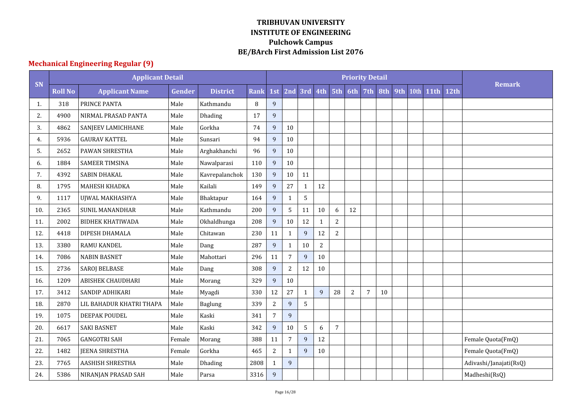# **Mechanical Engineering Regular (9)**

|     |                | <b>Applicant Detail</b>  |        |                 |             |                |                  |              |                |                |            | <b>Priority Detail</b> |     |     |      |             |      |                        |
|-----|----------------|--------------------------|--------|-----------------|-------------|----------------|------------------|--------------|----------------|----------------|------------|------------------------|-----|-----|------|-------------|------|------------------------|
| SN  | <b>Roll No</b> | <b>Applicant Name</b>    | Gender | <b>District</b> | <b>Rank</b> | 1st            |                  | 2nd 3rd 4th  |                | 5th            | 6th        | 7 <sub>th</sub>        | 8th | 9th | 10th | <b>11th</b> | 12th | <b>Remark</b>          |
| 1.  | 318            | PRINCE PANTA             | Male   | Kathmandu       | 8           | 9              |                  |              |                |                |            |                        |     |     |      |             |      |                        |
| 2.  | 4900           | NIRMAL PRASAD PANTA      | Male   | Dhading         | 17          | 9              |                  |              |                |                |            |                        |     |     |      |             |      |                        |
| 3.  | 4862           | SANJEEV LAMICHHANE       | Male   | Gorkha          | 74          | 9              | 10               |              |                |                |            |                        |     |     |      |             |      |                        |
| 4.  | 5936           | <b>GAURAV KATTEL</b>     | Male   | Sunsari         | 94          | 9              | 10               |              |                |                |            |                        |     |     |      |             |      |                        |
| 5.  | 2652           | PAWAN SHRESTHA           | Male   | Arghakhanchi    | 96          | 9              | 10               |              |                |                |            |                        |     |     |      |             |      |                        |
| 6.  | 1884           | <b>SAMEER TIMSINA</b>    | Male   | Nawalparasi     | 110         | 9              | 10               |              |                |                |            |                        |     |     |      |             |      |                        |
| 7.  | 4392           | SABIN DHAKAL             | Male   | Kavrepalanchok  | 130         | 9              | 10               | 11           |                |                |            |                        |     |     |      |             |      |                        |
| 8.  | 1795           | MAHESH KHADKA            | Male   | Kailali         | 149         | 9              | 27               | $\mathbf{1}$ | 12             |                |            |                        |     |     |      |             |      |                        |
| 9.  | 1117           | UJWAL MAKHASHYA          | Male   | Bhaktapur       | 164         | 9              | $\mathbf{1}$     | 5            |                |                |            |                        |     |     |      |             |      |                        |
| 10. | 2365           | <b>SUNIL MANANDHAR</b>   | Male   | Kathmandu       | 200         | 9              | 5                | 11           | 10             | 6              | 12         |                        |     |     |      |             |      |                        |
| 11. | 2002           | <b>BIDHEK KHATIWADA</b>  | Male   | Okhaldhunga     | 208         | 9              | $10\,$           | 12           | $\mathbf{1}$   | $\overline{c}$ |            |                        |     |     |      |             |      |                        |
| 12. | 4418           | DIPESH DHAMALA           | Male   | Chitawan        | 230         | 11             | $\mathbf{1}$     | 9            | 12             | 2              |            |                        |     |     |      |             |      |                        |
| 13. | 3380           | <b>RAMU KANDEL</b>       | Male   | Dang            | 287         | 9              | $\mathbf{1}$     | 10           | $\overline{c}$ |                |            |                        |     |     |      |             |      |                        |
| 14. | 7086           | <b>NABIN BASNET</b>      | Male   | Mahottari       | 296         | 11             | $\overline{7}$   | 9            | 10             |                |            |                        |     |     |      |             |      |                        |
| 15. | 2736           | <b>SAROJ BELBASE</b>     | Male   | Dang            | 308         | 9              | $\overline{2}$   | 12           | 10             |                |            |                        |     |     |      |             |      |                        |
| 16. | 1209           | <b>ABISHEK CHAUDHARI</b> | Male   | Morang          | 329         | 9              | 10               |              |                |                |            |                        |     |     |      |             |      |                        |
| 17. | 3412           | SANDIP ADHIKARI          | Male   | Myagdi          | 330         | 12             | 27               | $\mathbf{1}$ | $\mathbf{q}$   | 28             | $\sqrt{2}$ | $\overline{7}$         | 10  |     |      |             |      |                        |
| 18. | 2870           | LIL BAHADUR KHATRI THAPA | Male   | Baglung         | 339         | $\overline{c}$ | $\overline{9}$   | 5            |                |                |            |                        |     |     |      |             |      |                        |
| 19. | 1075           | DEEPAK POUDEL            | Male   | Kaski           | 341         | $\overline{7}$ | 9                |              |                |                |            |                        |     |     |      |             |      |                        |
| 20. | 6617           | <b>SAKI BASNET</b>       | Male   | Kaski           | 342         | 9              | 10               | 5            | 6              | $\overline{7}$ |            |                        |     |     |      |             |      |                        |
| 21. | 7065           | <b>GANGOTRI SAH</b>      | Female | Morang          | 388         | 11             | $\boldsymbol{7}$ | $\mathbf{9}$ | $12\,$         |                |            |                        |     |     |      |             |      | Female Quota(FmQ)      |
| 22. | 1482           | <b>JEENA SHRESTHA</b>    | Female | Gorkha          | 465         | $\overline{2}$ | $\mathbf{1}$     | 9            | $10\,$         |                |            |                        |     |     |      |             |      | Female Quota(FmQ)      |
| 23. | 7765           | AASHISH SHRESTHA         | Male   | Dhading         | 2808        | $\mathbf{1}$   | $\overline{9}$   |              |                |                |            |                        |     |     |      |             |      | Adivashi/Janajati(RsQ) |
| 24. | 5386           | NIRANJAN PRASAD SAH      | Male   | Parsa           | 3316        | 9              |                  |              |                |                |            |                        |     |     |      |             |      | Madheshi(RsQ)          |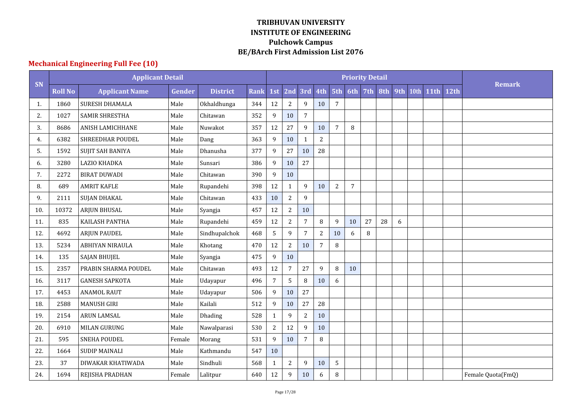## **Mechanical Engineering Full Fee (10)**

|     |                | <b>Applicant Detail</b> |        |                 |             |                 |                |                  |                |                |                | <b>Priority Detail</b> |     |     |      |             |      |                   |
|-----|----------------|-------------------------|--------|-----------------|-------------|-----------------|----------------|------------------|----------------|----------------|----------------|------------------------|-----|-----|------|-------------|------|-------------------|
| SN  | <b>Roll No</b> | <b>Applicant Name</b>   | Gender | <b>District</b> | <b>Rank</b> | 1st             | 2nd            | 3rd              | 4th            | 5th            | 6th            | 7th                    | 8th | 9th | 10th | <b>11th</b> | 12th | <b>Remark</b>     |
| -1. | 1860           | <b>SURESH DHAMALA</b>   | Male   | Okhaldhunga     | 344         | 12              | $\sqrt{2}$     | 9                | 10             | $\overline{7}$ |                |                        |     |     |      |             |      |                   |
| 2.  | 1027           | <b>SAMIR SHRESTHA</b>   | Male   | Chitawan        | 352         | 9               | 10             | $\boldsymbol{7}$ |                |                |                |                        |     |     |      |             |      |                   |
| 3.  | 8686           | <b>ANISH LAMICHHANE</b> | Male   | Nuwakot         | 357         | 12              | 27             | 9                | 10             | $\overline{7}$ | 8              |                        |     |     |      |             |      |                   |
| 4.  | 6382           | SHREEDHAR POUDEL        | Male   | Dang            | 363         | 9               | 10             | 1                | $\overline{2}$ |                |                |                        |     |     |      |             |      |                   |
| 5.  | 1592           | SUJIT SAH BANIYA        | Male   | Dhanusha        | 377         | 9               | 27             | 10               | 28             |                |                |                        |     |     |      |             |      |                   |
| 6.  | 3280           | LAZIO KHADKA            | Male   | Sunsari         | 386         | 9               | 10             | 27               |                |                |                |                        |     |     |      |             |      |                   |
| 7.  | 2272           | <b>BIRAT DUWADI</b>     | Male   | Chitawan        | 390         | 9               | 10             |                  |                |                |                |                        |     |     |      |             |      |                   |
| 8.  | 689            | <b>AMRIT KAFLE</b>      | Male   | Rupandehi       | 398         | 12              | $\mathbf 1$    | 9                | 10             | $\overline{2}$ | $\overline{7}$ |                        |     |     |      |             |      |                   |
| 9.  | 2111           | <b>SUJAN DHAKAL</b>     | Male   | Chitawan        | 433         | 10              | $\overline{2}$ | 9                |                |                |                |                        |     |     |      |             |      |                   |
| 10. | 10372          | <b>ARJUN BHUSAL</b>     | Male   | Syangja         | 457         | 12              | $\sqrt{2}$     | 10               |                |                |                |                        |     |     |      |             |      |                   |
| 11. | 835            | KAILASH PANTHA          | Male   | Rupandehi       | 459         | 12              | $\sqrt{2}$     | 7                | 8              | 9              | 10             | 27                     | 28  | 6   |      |             |      |                   |
| 12. | 4692           | <b>ARJUN PAUDEL</b>     | Male   | Sindhupalchok   | 468         | 5               | 9              | 7                | $\overline{2}$ | 10             | 6              | 8                      |     |     |      |             |      |                   |
| 13. | 5234           | <b>ABHIYAN NIRAULA</b>  | Male   | Khotang         | 470         | 12              | $\overline{c}$ | 10               | $\overline{7}$ | 8              |                |                        |     |     |      |             |      |                   |
| 14. | 135            | <b>SAJAN BHUJEL</b>     | Male   | Syangja         | 475         | 9               | 10             |                  |                |                |                |                        |     |     |      |             |      |                   |
| 15. | 2357           | PRABIN SHARMA POUDEL    | Male   | Chitawan        | 493         | 12              | $\overline{7}$ | 27               | $\mathbf{q}$   | 8              | 10             |                        |     |     |      |             |      |                   |
| 16. | 3117           | <b>GANESH SAPKOTA</b>   | Male   | Udayapur        | 496         | $7\overline{ }$ | 5              | $\, 8$           | 10             | 6              |                |                        |     |     |      |             |      |                   |
| 17. | 4453           | <b>ANAMOL RAUT</b>      | Male   | Udayapur        | 506         | 9               | 10             | 27               |                |                |                |                        |     |     |      |             |      |                   |
| 18. | 2588           | <b>MANUSH GIRI</b>      | Male   | Kailali         | 512         | 9               | 10             | 27               | 28             |                |                |                        |     |     |      |             |      |                   |
| 19. | 2154           | <b>ARUN LAMSAL</b>      | Male   | Dhading         | 528         | $\mathbf{1}$    | 9              | $\overline{2}$   | 10             |                |                |                        |     |     |      |             |      |                   |
| 20. | 6910           | MILAN GURUNG            | Male   | Nawalparasi     | 530         | $\overline{2}$  | 12             | 9                | 10             |                |                |                        |     |     |      |             |      |                   |
| 21. | 595            | <b>SNEHA POUDEL</b>     | Female | Morang          | 531         | 9               | 10             | $\overline{7}$   | 8              |                |                |                        |     |     |      |             |      |                   |
| 22. | 1664           | <b>SUDIP MAINALI</b>    | Male   | Kathmandu       | 547         | 10              |                |                  |                |                |                |                        |     |     |      |             |      |                   |
| 23. | 37             | DIWAKAR KHATIWADA       | Male   | Sindhuli        | 568         | $\mathbf{1}$    | $\sqrt{2}$     | 9                | $10\,$         | 5              |                |                        |     |     |      |             |      |                   |
| 24. | 1694           | REJISHA PRADHAN         | Female | Lalitpur        | 640         | 12              | 9              | $10\,$           | 6              | 8              |                |                        |     |     |      |             |      | Female Quota(FmQ) |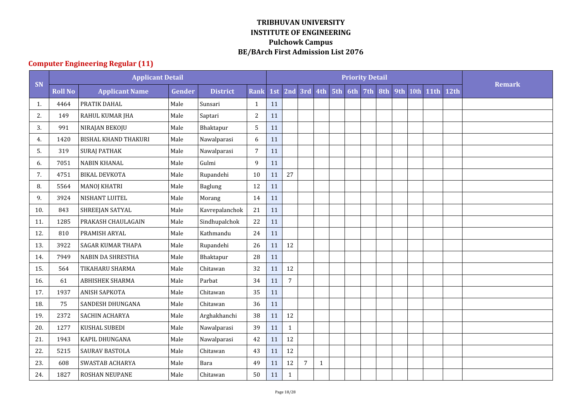## **Computer Engineering Regular (11)**

|     |                | <b>Applicant Detail</b>     |        |                 |                |     |                |                  |              |     | <b>Priority Detail</b> |     |     |      |             |                  |               |
|-----|----------------|-----------------------------|--------|-----------------|----------------|-----|----------------|------------------|--------------|-----|------------------------|-----|-----|------|-------------|------------------|---------------|
| SN  | <b>Roll No</b> | <b>Applicant Name</b>       | Gender | <b>District</b> | <b>Rank</b>    | 1st |                | 2nd 3rd 4th 5th  |              | 6th | 7th                    | 8th | 9th | 10th | <b>11th</b> | 12 <sub>th</sub> | <b>Remark</b> |
| 1.  | 4464           | PRATIK DAHAL                | Male   | Sunsari         | 1              | 11  |                |                  |              |     |                        |     |     |      |             |                  |               |
| 2.  | 149            | RAHUL KUMAR JHA             | Male   | Saptari         | $\overline{2}$ | 11  |                |                  |              |     |                        |     |     |      |             |                  |               |
| 3.  | 991            | NIRAJAN BEKOJU              | Male   | Bhaktapur       | 5              | 11  |                |                  |              |     |                        |     |     |      |             |                  |               |
| 4.  | 1420           | <b>BISHAL KHAND THAKURI</b> | Male   | Nawalparasi     | 6              | 11  |                |                  |              |     |                        |     |     |      |             |                  |               |
| 5.  | 319            | <b>SURAJ PATHAK</b>         | Male   | Nawalparasi     | 7              | 11  |                |                  |              |     |                        |     |     |      |             |                  |               |
| 6.  | 7051           | <b>NABIN KHANAL</b>         | Male   | Gulmi           | 9              | 11  |                |                  |              |     |                        |     |     |      |             |                  |               |
| 7.  | 4751           | <b>BIKAL DEVKOTA</b>        | Male   | Rupandehi       | 10             | 11  | 27             |                  |              |     |                        |     |     |      |             |                  |               |
| 8.  | 5564           | <b>MANOJ KHATRI</b>         | Male   | Baglung         | 12             | 11  |                |                  |              |     |                        |     |     |      |             |                  |               |
| 9.  | 3924           | NISHANT LUITEL              | Male   | Morang          | 14             | 11  |                |                  |              |     |                        |     |     |      |             |                  |               |
| 10. | 843            | SHREEJAN SATYAL             | Male   | Kavrepalanchok  | 21             | 11  |                |                  |              |     |                        |     |     |      |             |                  |               |
| 11. | 1285           | PRAKASH CHAULAGAIN          | Male   | Sindhupalchok   | 22             | 11  |                |                  |              |     |                        |     |     |      |             |                  |               |
| 12. | 810            | PRAMISH ARYAL               | Male   | Kathmandu       | 24             | 11  |                |                  |              |     |                        |     |     |      |             |                  |               |
| 13. | 3922           | <b>SAGAR KUMAR THAPA</b>    | Male   | Rupandehi       | 26             | 11  | 12             |                  |              |     |                        |     |     |      |             |                  |               |
| 14. | 7949           | <b>NABIN DA SHRESTHA</b>    | Male   | Bhaktapur       | 28             | 11  |                |                  |              |     |                        |     |     |      |             |                  |               |
| 15. | 564            | TIKAHARU SHARMA             | Male   | Chitawan        | 32             | 11  | 12             |                  |              |     |                        |     |     |      |             |                  |               |
| 16. | 61             | <b>ABHISHEK SHARMA</b>      | Male   | Parbat          | 34             | 11  | $\overline{7}$ |                  |              |     |                        |     |     |      |             |                  |               |
| 17. | 1937           | <b>ANISH SAPKOTA</b>        | Male   | Chitawan        | 35             | 11  |                |                  |              |     |                        |     |     |      |             |                  |               |
| 18. | 75             | SANDESH DHUNGANA            | Male   | Chitawan        | 36             | 11  |                |                  |              |     |                        |     |     |      |             |                  |               |
| 19. | 2372           | <b>SACHIN ACHARYA</b>       | Male   | Arghakhanchi    | 38             | 11  | 12             |                  |              |     |                        |     |     |      |             |                  |               |
| 20. | 1277           | KUSHAL SUBEDI               | Male   | Nawalparasi     | 39             | 11  | $\mathbf{1}$   |                  |              |     |                        |     |     |      |             |                  |               |
| 21. | 1943           | KAPIL DHUNGANA              | Male   | Nawalparasi     | 42             | 11  | 12             |                  |              |     |                        |     |     |      |             |                  |               |
| 22. | 5215           | SAURAV BASTOLA              | Male   | Chitawan        | 43             | 11  | 12             |                  |              |     |                        |     |     |      |             |                  |               |
| 23. | 608            | SWASTAB ACHARYA             | Male   | Bara            | 49             | 11  | 12             | $\boldsymbol{7}$ | $\mathbf{1}$ |     |                        |     |     |      |             |                  |               |
| 24. | 1827           | ROSHAN NEUPANE              | Male   | Chitawan        | 50             | 11  | $\mathbf{1}$   |                  |              |     |                        |     |     |      |             |                  |               |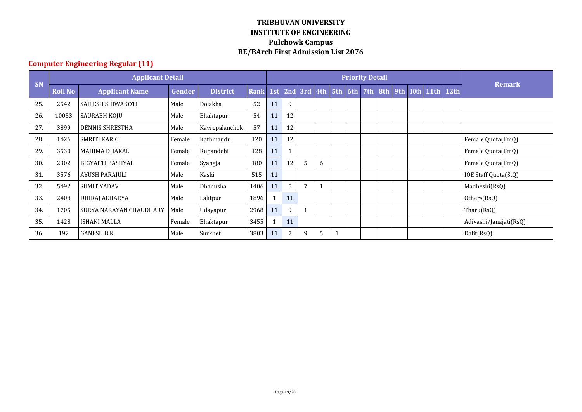## **Computer Engineering Regular (11)**

|     |                | <b>Applicant Detail</b> |               |                 |             |     |    |               |   |     |     | <b>Priority Detail</b> |  |                   |             |                        |
|-----|----------------|-------------------------|---------------|-----------------|-------------|-----|----|---------------|---|-----|-----|------------------------|--|-------------------|-------------|------------------------|
| SN  | <b>Roll No</b> | <b>Applicant Name</b>   | <b>Gender</b> | <b>District</b> | <b>Rank</b> | 1st |    | $2nd$ 3rd 4th |   | 5th | 6th | 7th                    |  | 8th 9th 10th 11th | <b>12th</b> | <b>Remark</b>          |
| 25. | 2542           | SAILESH SHIWAKOTI       | Male          | Dolakha         | 52          | 11  | 9  |               |   |     |     |                        |  |                   |             |                        |
| 26. | 10053          | SAURABH KOJU            | Male          | Bhaktapur       | 54          | 11  | 12 |               |   |     |     |                        |  |                   |             |                        |
| 27. | 3899           | <b>DENNIS SHRESTHA</b>  | Male          | Kavrepalanchok  | 57          | 11  | 12 |               |   |     |     |                        |  |                   |             |                        |
| 28. | 1426           | <b>SMRITI KARKI</b>     | Female        | Kathmandu       | 120         | 11  | 12 |               |   |     |     |                        |  |                   |             | Female Quota(FmQ)      |
| 29. | 3530           | <b>MAHIMA DHAKAL</b>    | Female        | Rupandehi       | 128         | 11  | 1  |               |   |     |     |                        |  |                   |             | Female Quota(FmQ)      |
| 30. | 2302           | BIGYAPTI BASHYAL        | Female        | Syangja         | 180         | 11  | 12 | 5             | 6 |     |     |                        |  |                   |             | Female Quota(FmQ)      |
| 31  | 3576           | AYUSH PARAJULI          | Male          | Kaski           | 515         | 11  |    |               |   |     |     |                        |  |                   |             | IOE Staff Quota(StQ)   |
| 32. | 5492           | <b>SUMIT YADAV</b>      | Male          | Dhanusha        | 1406        | 11  | 5  | 7             |   |     |     |                        |  |                   |             | Madheshi(RsQ)          |
| 33. | 2408           | DHIRAJ ACHARYA          | Male          | Lalitpur        | 1896        |     | 11 |               |   |     |     |                        |  |                   |             | Others(RsQ)            |
| 34. | 1705           | SURYA NARAYAN CHAUDHARY | Male          | Udayapur        | 2968        | 11  | 9  |               |   |     |     |                        |  |                   |             | Tharu(RsQ)             |
| 35. | 1428           | <b>ISHANI MALLA</b>     | Female        | Bhaktapur       | 3455        |     | 11 |               |   |     |     |                        |  |                   |             | Adivashi/Janajati(RsQ) |
| 36. | 192            | <b>GANESH B.K</b>       | Male          | Surkhet         | 3803        | 11  | 7  | 9             | 5 |     |     |                        |  |                   |             | Dalit(RsQ)             |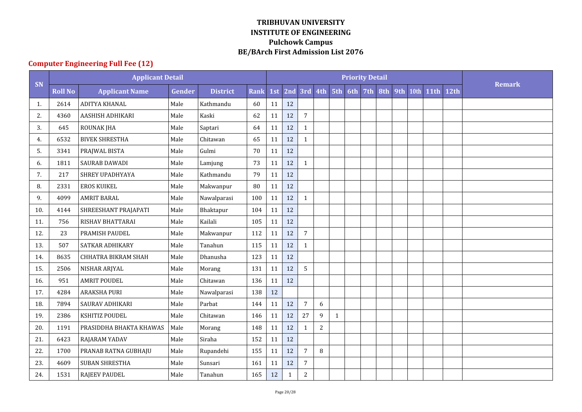## **Computer Engineering Full Fee (12)**

|     |                | <b>Applicant Detail</b> |        |                 |             |        |             |                |            |              |                 | <b>Priority Detail</b> |     |     |      |             |      |               |
|-----|----------------|-------------------------|--------|-----------------|-------------|--------|-------------|----------------|------------|--------------|-----------------|------------------------|-----|-----|------|-------------|------|---------------|
| SN  | <b>Roll No</b> | <b>Applicant Name</b>   | Gender | <b>District</b> | <b>Rank</b> | 1st    | 2nd         |                |            |              | 3rd 4th 5th 6th | 7th                    | 8th | 9th | 10th | <b>11th</b> | 12th | <b>Remark</b> |
| 1.  | 2614           | ADITYA KHANAL           | Male   | Kathmandu       | 60          | 11     | 12          |                |            |              |                 |                        |     |     |      |             |      |               |
| 2.  | 4360           | AASHISH ADHIKARI        | Male   | Kaski           | 62          | 11     | 12          | $\overline{7}$ |            |              |                 |                        |     |     |      |             |      |               |
| 3.  | 645            | <b>ROUNAK JHA</b>       | Male   | Saptari         | 64          | 11     | 12          | $\mathbf{1}$   |            |              |                 |                        |     |     |      |             |      |               |
| 4.  | 6532           | <b>BIVEK SHRESTHA</b>   | Male   | Chitawan        | 65          | 11     | 12          | $\mathbf{1}$   |            |              |                 |                        |     |     |      |             |      |               |
| 5.  | 3341           | PRAJWAL BISTA           | Male   | Gulmi           | 70          | 11     | 12          |                |            |              |                 |                        |     |     |      |             |      |               |
| 6.  | 1811           | SAURAB DAWADI           | Male   | Lamjung         | 73          | 11     | 12          | 1              |            |              |                 |                        |     |     |      |             |      |               |
| 7.  | 217            | SHREY UPADHYAYA         | Male   | Kathmandu       | 79          | 11     | 12          |                |            |              |                 |                        |     |     |      |             |      |               |
| 8.  | 2331           | <b>EROS KUIKEL</b>      | Male   | Makwanpur       | 80          | 11     | 12          |                |            |              |                 |                        |     |     |      |             |      |               |
| 9.  | 4099           | <b>AMRIT BARAL</b>      | Male   | Nawalparasi     | 100         | 11     | 12          | $\mathbf{1}$   |            |              |                 |                        |     |     |      |             |      |               |
| 10. | 4144           | SHREESHANT PRAJAPATI    | Male   | Bhaktapur       | 104         | 11     | 12          |                |            |              |                 |                        |     |     |      |             |      |               |
| 11. | 756            | RISHAV BHATTARAI        | Male   | Kailali         | 105         | 11     | 12          |                |            |              |                 |                        |     |     |      |             |      |               |
| 12. | 23             | PRAMISH PAUDEL          | Male   | Makwanpur       | 112         | 11     | 12          | $\overline{7}$ |            |              |                 |                        |     |     |      |             |      |               |
| 13. | 507            | SATKAR ADHIKARY         | Male   | Tanahun         | 115         | 11     | 12          | $\mathbf{1}$   |            |              |                 |                        |     |     |      |             |      |               |
| 14. | 8635           | CHHATRA BIKRAM SHAH     | Male   | Dhanusha        | 123         | 11     | 12          |                |            |              |                 |                        |     |     |      |             |      |               |
| 15. | 2506           | NISHAR ARJYAL           | Male   | Morang          | 131         | 11     | 12          | 5              |            |              |                 |                        |     |     |      |             |      |               |
| 16. | 951            | <b>AMRIT POUDEL</b>     | Male   | Chitawan        | 136         | 11     | 12          |                |            |              |                 |                        |     |     |      |             |      |               |
| 17. | 4284           | <b>ARAKSHA PURI</b>     | Male   | Nawalparasi     | 138         | 12     |             |                |            |              |                 |                        |     |     |      |             |      |               |
| 18. | 7894           | SAURAV ADHIKARI         | Male   | Parbat          | 144         | 11     | 12          | 7              | 6          |              |                 |                        |     |     |      |             |      |               |
| 19. | 2386           | KSHITIZ POUDEL          | Male   | Chitawan        | 146         | $11\,$ | 12          | 27             | 9          | $\mathbf{1}$ |                 |                        |     |     |      |             |      |               |
| 20. | 1191           | PRASIDDHA BHAKTA KHAWAS | Male   | Morang          | 148         | 11     | 12          | $\mathbf{1}$   | $\sqrt{2}$ |              |                 |                        |     |     |      |             |      |               |
| 21. | 6423           | RAJARAM YADAV           | Male   | Siraha          | 152         | 11     | 12          |                |            |              |                 |                        |     |     |      |             |      |               |
| 22. | 1700           | PRANAB RATNA GUBHAJU    | Male   | Rupandehi       | 155         | 11     | 12          | $\overline{7}$ | 8          |              |                 |                        |     |     |      |             |      |               |
| 23. | 4609           | SUBAN SHRESTHA          | Male   | Sunsari         | 161         | 11     | 12          | 7              |            |              |                 |                        |     |     |      |             |      |               |
| 24. | 1531           | <b>RAJEEV PAUDEL</b>    | Male   | Tanahun         | 165         | 12     | $\mathbf 1$ | $\sqrt{2}$     |            |              |                 |                        |     |     |      |             |      |               |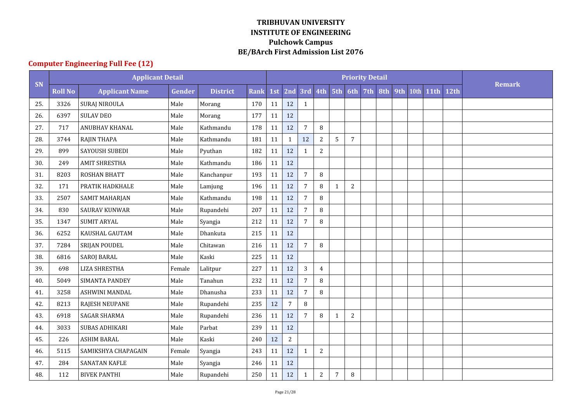## **Computer Engineering Full Fee (12)**

|     |                | <b>Applicant Detail</b> |        |                 |             |        |                |                |                |              |                 | <b>Priority Detail</b> |     |     |      |             |      |               |
|-----|----------------|-------------------------|--------|-----------------|-------------|--------|----------------|----------------|----------------|--------------|-----------------|------------------------|-----|-----|------|-------------|------|---------------|
| SN  | <b>Roll No</b> | <b>Applicant Name</b>   | Gender | <b>District</b> | <b>Rank</b> | 1st    | 2nd            |                |                |              | 3rd 4th 5th 6th | 7th                    | 8th | 9th | 10th | <b>11th</b> | 12th | <b>Remark</b> |
| 25. | 3326           | SURAJ NIROULA           | Male   | Morang          | 170         | 11     | 12             | 1              |                |              |                 |                        |     |     |      |             |      |               |
| 26. | 6397           | <b>SULAV DEO</b>        | Male   | Morang          | 177         | 11     | 12             |                |                |              |                 |                        |     |     |      |             |      |               |
| 27. | 717            | ANUBHAV KHANAL          | Male   | Kathmandu       | 178         | 11     | 12             | $\overline{7}$ | 8              |              |                 |                        |     |     |      |             |      |               |
| 28. | 3744           | <b>RAJIN THAPA</b>      | Male   | Kathmandu       | 181         | 11     | $\mathbf{1}$   | 12             | $\overline{c}$ | 5            | $\overline{7}$  |                        |     |     |      |             |      |               |
| 29. | 899            | <b>SAYOUSH SUBEDI</b>   | Male   | Pyuthan         | 182         | 11     | 12             | $\mathbf{1}$   | $\overline{c}$ |              |                 |                        |     |     |      |             |      |               |
| 30. | 249            | <b>AMIT SHRESTHA</b>    | Male   | Kathmandu       | 186         | 11     | 12             |                |                |              |                 |                        |     |     |      |             |      |               |
| 31. | 8203           | <b>ROSHAN BHATT</b>     | Male   | Kanchanpur      | 193         | 11     | 12             | $\overline{7}$ | $\, 8$         |              |                 |                        |     |     |      |             |      |               |
| 32. | 171            | PRATIK HADKHALE         | Male   | Lamjung         | 196         | 11     | 12             | $\overline{7}$ | 8              | $\mathbf{1}$ | $\sqrt{2}$      |                        |     |     |      |             |      |               |
| 33. | 2507           | SAMIT MAHARJAN          | Male   | Kathmandu       | 198         | 11     | 12             | $\overline{7}$ | 8              |              |                 |                        |     |     |      |             |      |               |
| 34. | 830            | <b>SAURAV KUNWAR</b>    | Male   | Rupandehi       | 207         | 11     | 12             | $\overline{7}$ | 8              |              |                 |                        |     |     |      |             |      |               |
| 35. | 1347           | <b>SUMIT ARYAL</b>      | Male   | Syangja         | 212         | 11     | 12             | 7              | 8              |              |                 |                        |     |     |      |             |      |               |
| 36. | 6252           | KAUSHAL GAUTAM          | Male   | Dhankuta        | 215         | 11     | 12             |                |                |              |                 |                        |     |     |      |             |      |               |
| 37. | 7284           | SRIJAN POUDEL           | Male   | Chitawan        | 216         | 11     | 12             | $\overline{7}$ | 8              |              |                 |                        |     |     |      |             |      |               |
| 38. | 6816           | <b>SAROJ BARAL</b>      | Male   | Kaski           | 225         | 11     | 12             |                |                |              |                 |                        |     |     |      |             |      |               |
| 39. | 698            | <b>LIZA SHRESTHA</b>    | Female | Lalitpur        | 227         | 11     | 12             | $\overline{3}$ | $\overline{4}$ |              |                 |                        |     |     |      |             |      |               |
| 40. | 5049           | SIMANTA PANDEY          | Male   | Tanahun         | 232         | 11     | 12             | $\overline{7}$ | 8              |              |                 |                        |     |     |      |             |      |               |
| 41. | 3258           | <b>ASHWINI MANDAL</b>   | Male   | Dhanusha        | 233         | 11     | 12             | 7              | 8              |              |                 |                        |     |     |      |             |      |               |
| 42. | 8213           | RAJESH NEUPANE          | Male   | Rupandehi       | 235         | 12     | $\overline{7}$ | $\, 8$         |                |              |                 |                        |     |     |      |             |      |               |
| 43. | 6918           | <b>SAGAR SHARMA</b>     | Male   | Rupandehi       | 236         | $11\,$ | 12             | $\overline{7}$ | 8              | $\mathbf{1}$ | $\overline{2}$  |                        |     |     |      |             |      |               |
| 44. | 3033           | SUBAS ADHIKARI          | Male   | Parbat          | 239         | 11     | 12             |                |                |              |                 |                        |     |     |      |             |      |               |
| 45. | 226            | <b>ASHIM BARAL</b>      | Male   | Kaski           | 240         | 12     | $\sqrt{2}$     |                |                |              |                 |                        |     |     |      |             |      |               |
| 46. | 5115           | SAMIKSHYA CHAPAGAIN     | Female | Syangja         | 243         | 11     | 12             | $\mathbf{1}$   | $\overline{c}$ |              |                 |                        |     |     |      |             |      |               |
| 47. | 284            | <b>SANATAN KAFLE</b>    | Male   | Syangja         | 246         | 11     | 12             |                |                |              |                 |                        |     |     |      |             |      |               |
| 48. | 112            | <b>BIVEK PANTHI</b>     | Male   | Rupandehi       | 250         | 11     | 12             | $\mathbf{1}$   | $\sqrt{2}$     | 7            | $\, 8$          |                        |     |     |      |             |      |               |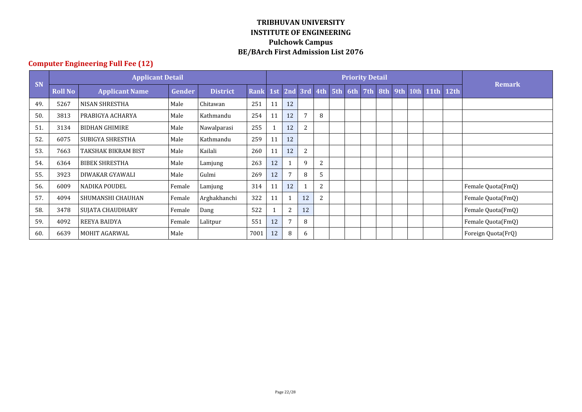## **Computer Engineering Full Fee (12)**

|     |                | <b>Applicant Detail</b> |        |                 |      |    |                 |                 |                |     | <b>Priority Detail</b> |  |                    |                    |
|-----|----------------|-------------------------|--------|-----------------|------|----|-----------------|-----------------|----------------|-----|------------------------|--|--------------------|--------------------|
| SN  | <b>Roll No</b> | <b>Applicant Name</b>   | Gender | <b>District</b> | Rank |    |                 | 1st 2nd 3rd 4th |                | 5th | 6th 7th 8th            |  | 9th 10th 11th 12th | <b>Remark</b>      |
| 49  | 5267           | <b>NISAN SHRESTHA</b>   | Male   | Chitawan        | 251  | 11 | 12              |                 |                |     |                        |  |                    |                    |
| 50. | 3813           | PRABIGYA ACHARYA        | Male   | Kathmandu       | 254  | 11 | 12              | 7               | 8              |     |                        |  |                    |                    |
| 51  | 3134           | <b>BIDHAN GHIMIRE</b>   | Male   | Nawalparasi     | 255  |    | 12              | 2               |                |     |                        |  |                    |                    |
| 52. | 6075           | SUBIGYA SHRESTHA        | Male   | Kathmandu       | 259  | 11 | 12              |                 |                |     |                        |  |                    |                    |
| 53. | 7663           | TAKSHAK BIKRAM BIST     | Male   | Kailali         | 260  | 11 | 12              | 2               |                |     |                        |  |                    |                    |
| 54. | 6364           | <b>BIBEK SHRESTHA</b>   | Male   | Lamjung         | 263  | 12 |                 | 9               | 2              |     |                        |  |                    |                    |
| 55. | 3923           | DIWAKAR GYAWALI         | Male   | Gulmi           | 269  | 12 | $7\phantom{.0}$ | 8               | 5              |     |                        |  |                    |                    |
| 56. | 6009           | <b>NADIKA POUDEL</b>    | Female | Lamjung         | 314  | 11 | 12              |                 | $\overline{c}$ |     |                        |  |                    | Female Quota(FmQ)  |
| 57. | 4094           | SHUMANSHI CHAUHAN       | Female | Arghakhanchi    | 322  | 11 | $\mathbf{1}$    | 12              | $\overline{c}$ |     |                        |  |                    | Female Quota(FmQ)  |
| 58. | 3478           | SUJATA CHAUDHARY        | Female | Dang            | 522  |    | $\overline{2}$  | 12              |                |     |                        |  |                    | Female Quota(FmQ)  |
| 59. | 4092           | <b>REEYA BAIDYA</b>     | Female | Lalitpur        | 551  | 12 | 7               | 8               |                |     |                        |  |                    | Female Quota(FmQ)  |
| 60. | 6639           | <b>MOHIT AGARWAL</b>    | Male   |                 | 7001 | 12 | 8               | 6               |                |     |                        |  |                    | Foreign Quota(FrQ) |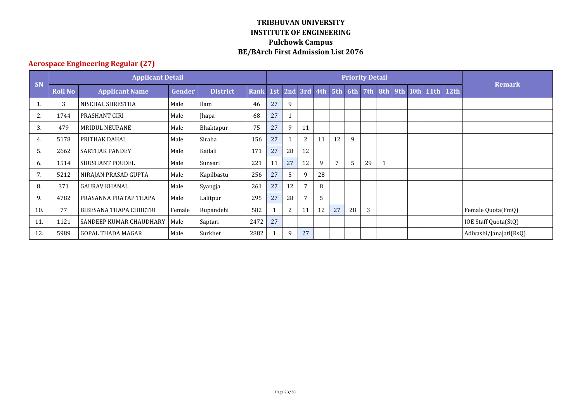## **Aerospace Engineering Regular (27)**

|     |                | <b>Applicant Detail</b>       |               |                 |             |    |                     |              |    |    |    | <b>Priority Detail</b> |  |                                |                        |
|-----|----------------|-------------------------------|---------------|-----------------|-------------|----|---------------------|--------------|----|----|----|------------------------|--|--------------------------------|------------------------|
| SN  | <b>Roll No</b> | <b>Applicant Name</b>         | <b>Gender</b> | <b>District</b> | <b>Rank</b> |    | 1st 2nd 3rd 4th 5th |              |    |    |    |                        |  | 6th 7th 8th 9th 10th 11th 12th | <b>Remark</b>          |
|     | 3              | NISCHAL SHRESTHA              | Male          | Ilam            | 46          | 27 | 9                   |              |    |    |    |                        |  |                                |                        |
| 2.  | 1744           | <b>PRASHANT GIRI</b>          | Male          | Jhapa           | 68          | 27 | $\mathbf{1}$        |              |    |    |    |                        |  |                                |                        |
| 3.  | 479            | <b>MRIDUL NEUPANE</b>         | Male          | Bhaktapur       | 75          | 27 | 9                   | 11           |    |    |    |                        |  |                                |                        |
| 4.  | 5178           | PRITHAK DAHAL                 | Male          | Siraha          | 156         | 27 | 1                   | 2            | 11 | 12 | 9  |                        |  |                                |                        |
| .5  | 2662           | <b>SARTHAK PANDEY</b>         | Male          | Kailali         | 171         | 27 | 28                  | 12           |    |    |    |                        |  |                                |                        |
| 6.  | 1514           | <b>SHUSHANT POUDEL</b>        | Male          | Sunsari         | 221         | 11 | 27                  | 12           | 9  | 7  | 5  | 29                     |  |                                |                        |
| 7.  | 5212           | NIRAJAN PRASAD GUPTA          | Male          | Kapilbastu      | 256         | 27 | 5                   | 9            | 28 |    |    |                        |  |                                |                        |
| 8.  | 371            | <b>GAURAV KHANAL</b>          | Male          | Syangja         | 261         | 27 | 12                  | 7            | 8  |    |    |                        |  |                                |                        |
| 9.  | 4782           | PRASANNA PRATAP THAPA         | Male          | Lalitpur        | 295         | 27 | 28                  | $\mathbf{7}$ | 5  |    |    |                        |  |                                |                        |
| 10. | 77             | <b>BIBESANA THAPA CHHETRI</b> | Female        | Rupandehi       | 582         |    | 2                   | 11           | 12 | 27 | 28 | 3                      |  |                                | Female Quota(FmQ)      |
| 11  | 1121           | SANDEEP KUMAR CHAUDHARY       | Male          | Saptari         | 2472        | 27 |                     |              |    |    |    |                        |  |                                | IOE Staff Quota(StQ)   |
| 12. | 5989           | <b>GOPAL THADA MAGAR</b>      | Male          | Surkhet         | 2882        |    | 9                   | 27           |    |    |    |                        |  |                                | Adivashi/Janajati(RsQ) |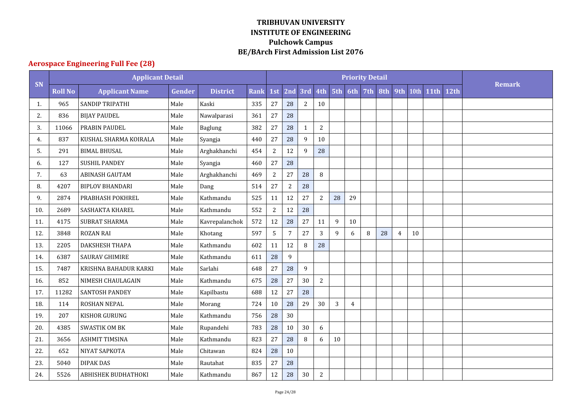## **Aerospace Engineering Full Fee (28)**

|     |                | <b>Applicant Detail</b>    |        |                 |             |                |                |                |                  |    |                | <b>Priority Detail</b> |     |     |    |           |      |        |
|-----|----------------|----------------------------|--------|-----------------|-------------|----------------|----------------|----------------|------------------|----|----------------|------------------------|-----|-----|----|-----------|------|--------|
| SN  | <b>Roll No</b> | <b>Applicant Name</b>      | Gender | <b>District</b> | <b>Rank</b> | 1st            | 2nd            |                | 3rd 4th 5th      |    | 6th            | 7th                    | 8th | 9th |    | 10th 11th | 12th | Remark |
| 1.  | 965            | SANDIP TRIPATHI            | Male   | Kaski           | 335         | 27             | 28             | $\overline{2}$ | 10               |    |                |                        |     |     |    |           |      |        |
| 2.  | 836            | <b>BIJAY PAUDEL</b>        | Male   | Nawalparasi     | 361         | 27             | 28             |                |                  |    |                |                        |     |     |    |           |      |        |
| 3.  | 11066          | PRABIN PAUDEL              | Male   | Baglung         | 382         | 27             | 28             | $\mathbf{1}$   | 2                |    |                |                        |     |     |    |           |      |        |
| 4.  | 837            | KUSHAL SHARMA KOIRALA      | Male   | Syangja         | 440         | 27             | 28             | 9              | 10               |    |                |                        |     |     |    |           |      |        |
| 5.  | 291            | <b>BIMAL BHUSAL</b>        | Male   | Arghakhanchi    | 454         | $\sqrt{2}$     | 12             | 9              | 28               |    |                |                        |     |     |    |           |      |        |
| 6.  | 127            | <b>SUSHIL PANDEY</b>       | Male   | Syangja         | 460         | 27             | 28             |                |                  |    |                |                        |     |     |    |           |      |        |
| 7.  | 63             | <b>ABINASH GAUTAM</b>      | Male   | Arghakhanchi    | 469         | $\overline{c}$ | 27             | 28             | $\, 8$           |    |                |                        |     |     |    |           |      |        |
| 8.  | 4207           | <b>BIPLOV BHANDARI</b>     | Male   | Dang            | 514         | 27             | $\sqrt{2}$     | 28             |                  |    |                |                        |     |     |    |           |      |        |
| 9.  | 2874           | PRABHASH POKHREL           | Male   | Kathmandu       | 525         | 11             | 12             | 27             | 2                | 28 | 29             |                        |     |     |    |           |      |        |
| 10. | 2689           | SASHAKTA KHAREL            | Male   | Kathmandu       | 552         | $\sqrt{2}$     | 12             | 28             |                  |    |                |                        |     |     |    |           |      |        |
| 11. | 4175           | SUBRAT SHARMA              | Male   | Kavrepalanchok  | 572         | $12\,$         | 28             | 27             | 11               | 9  | 10             |                        |     |     |    |           |      |        |
| 12. | 3848           | <b>ROZAN RAI</b>           | Male   | Khotang         | 597         | 5              | $\overline{7}$ | 27             | 3                | 9  | 6              | 8                      | 28  | 4   | 10 |           |      |        |
| 13. | 2205           | DAKSHESH THAPA             | Male   | Kathmandu       | 602         | 11             | 12             | 8              | 28               |    |                |                        |     |     |    |           |      |        |
| 14. | 6387           | <b>SAURAV GHIMIRE</b>      | Male   | Kathmandu       | 611         | 28             | $\overline{9}$ |                |                  |    |                |                        |     |     |    |           |      |        |
| 15. | 7487           | KRISHNA BAHADUR KARKI      | Male   | Sarlahi         | 648         | 27             | 28             | 9              |                  |    |                |                        |     |     |    |           |      |        |
| 16. | 852            | NIMESH CHAULAGAIN          | Male   | Kathmandu       | 675         | 28             | 27             | 30             | $\boldsymbol{2}$ |    |                |                        |     |     |    |           |      |        |
| 17. | 11282          | SANTOSH PANDEY             | Male   | Kapilbastu      | 688         | $12\,$         | 27             | 28             |                  |    |                |                        |     |     |    |           |      |        |
| 18. | 114            | ROSHAN NEPAL               | Male   | Morang          | 724         | 10             | 28             | 29             | 30               | 3  | $\overline{4}$ |                        |     |     |    |           |      |        |
| 19. | 207            | KISHOR GURUNG              | Male   | Kathmandu       | 756         | 28             | 30             |                |                  |    |                |                        |     |     |    |           |      |        |
| 20. | 4385           | <b>SWASTIK OM BK</b>       | Male   | Rupandehi       | 783         | 28             | $10\,$         | 30             | 6                |    |                |                        |     |     |    |           |      |        |
| 21. | 3656           | <b>ASHMIT TIMSINA</b>      | Male   | Kathmandu       | 823         | 27             | 28             | 8              | 6                | 10 |                |                        |     |     |    |           |      |        |
| 22. | 652            | NIYAT SAPKOTA              | Male   | Chitawan        | 824         | 28             | 10             |                |                  |    |                |                        |     |     |    |           |      |        |
| 23. | 5040           | <b>DIPAK DAS</b>           | Male   | Rautahat        | 835         | 27             | 28             |                |                  |    |                |                        |     |     |    |           |      |        |
| 24. | 5526           | <b>ABHISHEK BUDHATHOKI</b> | Male   | Kathmandu       | 867         | 12             | 28             | 30             | $\sqrt{2}$       |    |                |                        |     |     |    |           |      |        |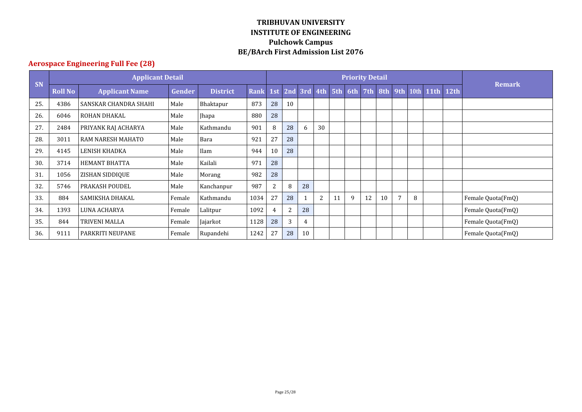## **Aerospace Engineering Full Fee (28)**

|           |                | <b>Applicant Detail</b> |        |                 |             |     |    |                 |    |    | <b>Remark</b> |     |    |                |   |                   |             |                   |
|-----------|----------------|-------------------------|--------|-----------------|-------------|-----|----|-----------------|----|----|---------------|-----|----|----------------|---|-------------------|-------------|-------------------|
| <b>SN</b> | <b>Roll No</b> | <b>Applicant Name</b>   | Gender | <b>District</b> | <b>Rank</b> | 1st |    | 2nd 3rd 4th 5th |    |    | 6th           | 7th |    |                |   | 8th 9th 10th 11th | <b>12th</b> |                   |
| 25.       | 4386           | SANSKAR CHANDRA SHAHI   | Male   | Bhaktapur       | 873         | 28  | 10 |                 |    |    |               |     |    |                |   |                   |             |                   |
| 26.       | 6046           | ROHAN DHAKAL            | Male   | <b>Jhapa</b>    | 880         | 28  |    |                 |    |    |               |     |    |                |   |                   |             |                   |
| 27.       | 2484           | PRIYANK RAJ ACHARYA     | Male   | Kathmandu       | 901         | 8   | 28 | 6               | 30 |    |               |     |    |                |   |                   |             |                   |
| 28.       | 3011           | RAM NARESH MAHATO       | Male   | Bara            | 921         | 27  | 28 |                 |    |    |               |     |    |                |   |                   |             |                   |
| 29.       | 4145           | <b>LENISH KHADKA</b>    | Male   | Ilam            | 944         | 10  | 28 |                 |    |    |               |     |    |                |   |                   |             |                   |
| 30.       | 3714           | <b>HEMANT BHATTA</b>    | Male   | Kailali         | 971         | 28  |    |                 |    |    |               |     |    |                |   |                   |             |                   |
| 31        | 1056           | ZISHAN SIDDIQUE         | Male   | Morang          | 982         | 28  |    |                 |    |    |               |     |    |                |   |                   |             |                   |
| 32.       | 5746           | PRAKASH POUDEL          | Male   | Kanchanpur      | 987         | 2   | 8  | 28              |    |    |               |     |    |                |   |                   |             |                   |
| 33.       | 884            | SAMIKSHA DHAKAL         | Female | Kathmandu       | 1034        | 27  | 28 |                 | 2  | 11 | 9             | 12  | 10 | $\overline{7}$ | 8 |                   |             | Female Quota(FmQ) |
| 34.       | 1393           | <b>LUNA ACHARYA</b>     | Female | Lalitpur        | 1092        | 4   | 2  | 28              |    |    |               |     |    |                |   |                   |             | Female Quota(FmQ) |
| 35.       | 844            | TRIVENI MALLA           | Female | Jajarkot        | 1128        | 28  | 3  | 4               |    |    |               |     |    |                |   |                   |             | Female Quota(FmQ) |
| 36.       | 9111           | PARKRITI NEUPANE        | Female | Rupandehi       | 1242        | 27  | 28 | 10              |    |    |               |     |    |                |   |                   |             | Female Quota(FmQ) |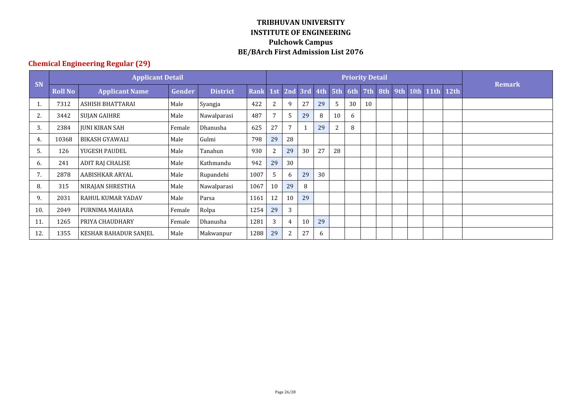## **Chemical Engineering Regular (29)**

|     |                | <b>Applicant Detail</b> |               |                 |             |     |                |                 |    |                | <b>Remark</b> |    |     |           |      |  |
|-----|----------------|-------------------------|---------------|-----------------|-------------|-----|----------------|-----------------|----|----------------|---------------|----|-----|-----------|------|--|
| SN  | <b>Roll No</b> | <b>Applicant Name</b>   | <b>Gender</b> | <b>District</b> | <b>Rank</b> | 1st |                | 2nd 3rd 4th 5th |    |                | 6th 7th 8th   |    | 9th | 10th 11th | 12th |  |
|     | 7312           | ASHISH BHATTARAI        | Male          | Syangja         | 422         | 2   | 9              | 27              | 29 | 5.             | 30            | 10 |     |           |      |  |
| 2.  | 3442           | SUJAN GAIHRE            | Male          | Nawalparasi     | 487         | 7   | 5              | 29              | 8  | 10             | 6             |    |     |           |      |  |
| 3.  | 2384           | <b>JUNI KIRAN SAH</b>   | Female        | Dhanusha        | 625         | 27  | $\overline{7}$ |                 | 29 | $\overline{2}$ | 8             |    |     |           |      |  |
| 4.  | 10368          | <b>BIKASH GYAWALI</b>   | Male          | Gulmi           | 798         | 29  | 28             |                 |    |                |               |    |     |           |      |  |
| 5.  | 126            | YUGESH PAUDEL           | Male          | Tanahun         | 930         | 2   | 29             | 30              | 27 | 28             |               |    |     |           |      |  |
| 6.  | 241            | ADIT RAJ CHALISE        | Male          | Kathmandu       | 942         | 29  | 30             |                 |    |                |               |    |     |           |      |  |
| 7.  | 2878           | AABISHKAR ARYAL         | Male          | Rupandehi       | 1007        | 5   | 6              | 29              | 30 |                |               |    |     |           |      |  |
| 8.  | 315            | NIRAJAN SHRESTHA        | Male          | Nawalparasi     | 1067        | 10  | 29             | 8               |    |                |               |    |     |           |      |  |
| 9.  | 2031           | RAHUL KUMAR YADAV       | Male          | Parsa           | 1161        | 12  | 10             | 29              |    |                |               |    |     |           |      |  |
| 10. | 2049           | PURNIMA MAHARA          | Female        | Rolpa           | 1254        | 29  | 3              |                 |    |                |               |    |     |           |      |  |
| 11. | 1265           | PRIYA CHAUDHARY         | Female        | Dhanusha        | 1281        | 3   | 4              | 10              | 29 |                |               |    |     |           |      |  |
| 12. | 1355           | KESHAR BAHADUR SANJEL   | Male          | Makwanpur       | 1288        | 29  | 2              | 27              | 6  |                |               |    |     |           |      |  |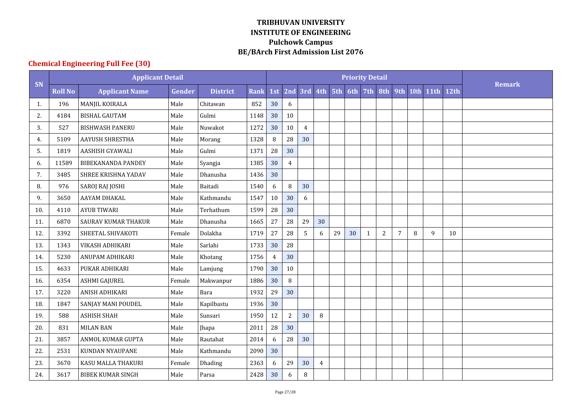# **Chemical Engineering Full Fee (30)**

|     |                | <b>Applicant Detail</b>    |        |                 |             |                |                |                |                |    |                     |                |                |                |        |             |      |               |
|-----|----------------|----------------------------|--------|-----------------|-------------|----------------|----------------|----------------|----------------|----|---------------------|----------------|----------------|----------------|--------|-------------|------|---------------|
| SN  | <b>Roll No</b> | <b>Applicant Name</b>      | Gender | <b>District</b> | <b>Rank</b> | 1st            |                |                |                |    | 2nd 3rd 4th 5th 6th | 7th            | 8th            | 9th            | 10th   | <b>11th</b> | 12th | <b>Remark</b> |
| 1.  | 196            | MANJIL KOIRALA             | Male   | Chitawan        | 852         | 30             | 6              |                |                |    |                     |                |                |                |        |             |      |               |
| 2.  | 4184           | <b>BISHAL GAUTAM</b>       | Male   | Gulmi           | 1148        | 30             | 10             |                |                |    |                     |                |                |                |        |             |      |               |
| 3.  | 527            | <b>BISHWASH PANERU</b>     | Male   | Nuwakot         | 1272        | 30             | 10             | $\overline{4}$ |                |    |                     |                |                |                |        |             |      |               |
| 4.  | 5109           | <b>AAYUSH SHRESTHA</b>     | Male   | Morang          | 1328        | 8              | 28             | 30             |                |    |                     |                |                |                |        |             |      |               |
| 5.  | 1819           | AASHISH GYAWALI            | Male   | Gulmi           | 1371        | 28             | 30             |                |                |    |                     |                |                |                |        |             |      |               |
| 6.  | 11589          | <b>BIBEKANANDA PANDEY</b>  | Male   | Syangja         | 1385        | 30             | $\overline{4}$ |                |                |    |                     |                |                |                |        |             |      |               |
| 7.  | 3485           | SHREE KRISHNA YADAV        | Male   | Dhanusha        | 1436        | 30             |                |                |                |    |                     |                |                |                |        |             |      |               |
| 8.  | 976            | <b>SAROJ RAJ JOSHI</b>     | Male   | Baitadi         | 1540        | 6              | $\, 8$         | 30             |                |    |                     |                |                |                |        |             |      |               |
| 9.  | 3650           | AAYAM DHAKAL               | Male   | Kathmandu       | 1547        | 10             | 30             | 6              |                |    |                     |                |                |                |        |             |      |               |
| 10. | 4110           | <b>AYUB TIWARI</b>         | Male   | Terhathum       | 1599        | 28             | 30             |                |                |    |                     |                |                |                |        |             |      |               |
| 11. | 6870           | <b>SAURAV KUMAR THAKUR</b> | Male   | Dhanusha        | 1665        | $27\,$         | 28             | 29             | 30             |    |                     |                |                |                |        |             |      |               |
| 12. | 3392           | SHEETAL SHIVAKOTI          | Female | Dolakha         | 1719        | 27             | 28             | 5              | 6              | 29 | 30                  | $\overline{1}$ | $\overline{2}$ | $\overline{7}$ | $\, 8$ | 9           | 10   |               |
| 13. | 1343           | VIKASH ADHIKARI            | Male   | Sarlahi         | 1733        | 30             | 28             |                |                |    |                     |                |                |                |        |             |      |               |
| 14. | 5230           | ANUPAM ADHIKARI            | Male   | Khotang         | 1756        | $\overline{4}$ | 30             |                |                |    |                     |                |                |                |        |             |      |               |
| 15. | 4633           | PUKAR ADHIKARI             | Male   | Lamjung         | 1790        | 30             | 10             |                |                |    |                     |                |                |                |        |             |      |               |
| 16. | 6354           | <b>ASHMI GAJUREL</b>       | Female | Makwanpur       | 1886        | 30             | $\bf{8}$       |                |                |    |                     |                |                |                |        |             |      |               |
| 17. | 3220           | ANISH ADHIKARI             | Male   | Bara            | 1932        | 29             | 30             |                |                |    |                     |                |                |                |        |             |      |               |
| 18. | 1847           | SANJAY MANI POUDEL         | Male   | Kapilbastu      | 1936        | 30             |                |                |                |    |                     |                |                |                |        |             |      |               |
| 19. | 588            | <b>ASHISH SHAH</b>         | Male   | Sunsari         | 1950        | 12             | $\sqrt{2}$     | 30             | 8              |    |                     |                |                |                |        |             |      |               |
| 20. | 831            | <b>MILAN BAN</b>           | Male   | Jhapa           | 2011        | 28             | 30             |                |                |    |                     |                |                |                |        |             |      |               |
| 21. | 3857           | ANMOL KUMAR GUPTA          | Male   | Rautahat        | 2014        | 6              | 28             | 30             |                |    |                     |                |                |                |        |             |      |               |
| 22. | 2531           | <b>KUNDAN NYAUPANE</b>     | Male   | Kathmandu       | 2090        | 30             |                |                |                |    |                     |                |                |                |        |             |      |               |
| 23. | 3670           | KASU MALLA THAKURI         | Female | Dhading         | 2363        | 6              | 29             | 30             | $\overline{4}$ |    |                     |                |                |                |        |             |      |               |
| 24. | 3617           | <b>BIBEK KUMAR SINGH</b>   | Male   | Parsa           | 2428        | 30             | 6              | $\, 8$         |                |    |                     |                |                |                |        |             |      |               |